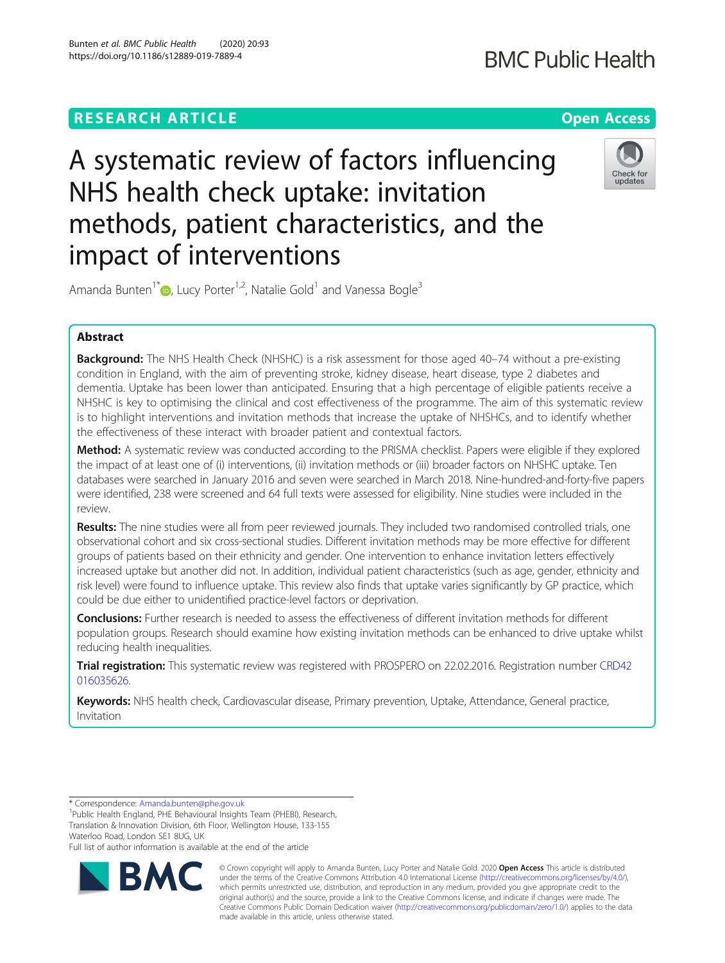### **RESEARCH ARTICLE Example 2014 12:30 The Contract of Contract ACCESS**

## **BMC Public Health**

# A systematic review of factors influencing NHS health check uptake: invitation methods, patient characteristics, and the impact of interventions



Amanda Bunten<sup>1\*</sup>  $\bullet$ [,](http://orcid.org/0000-0003-4871-0768) Lucy Porter<sup>1,2</sup>, Natalie Gold<sup>1</sup> and Vanessa Bogle<sup>3</sup>

### Abstract

**Background:** The NHS Health Check (NHSHC) is a risk assessment for those aged 40–74 without a pre-existing condition in England, with the aim of preventing stroke, kidney disease, heart disease, type 2 diabetes and dementia. Uptake has been lower than anticipated. Ensuring that a high percentage of eligible patients receive a NHSHC is key to optimising the clinical and cost effectiveness of the programme. The aim of this systematic review is to highlight interventions and invitation methods that increase the uptake of NHSHCs, and to identify whether the effectiveness of these interact with broader patient and contextual factors.

Method: A systematic review was conducted according to the PRISMA checklist. Papers were eligible if they explored the impact of at least one of (i) interventions, (ii) invitation methods or (iii) broader factors on NHSHC uptake. Ten databases were searched in January 2016 and seven were searched in March 2018. Nine-hundred-and-forty-five papers were identified, 238 were screened and 64 full texts were assessed for eligibility. Nine studies were included in the review.

Results: The nine studies were all from peer reviewed journals. They included two randomised controlled trials, one observational cohort and six cross-sectional studies. Different invitation methods may be more effective for different groups of patients based on their ethnicity and gender. One intervention to enhance invitation letters effectively increased uptake but another did not. In addition, individual patient characteristics (such as age, gender, ethnicity and risk level) were found to influence uptake. This review also finds that uptake varies significantly by GP practice, which could be due either to unidentified practice-level factors or deprivation.

Conclusions: Further research is needed to assess the effectiveness of different invitation methods for different population groups. Research should examine how existing invitation methods can be enhanced to drive uptake whilst reducing health inequalities.

Trial registration: This systematic review was registered with PROSPERO on 22.02.2016. Registration number [CRD42](https://www.crd.york.ac.uk/PROSPERO/display_record.php?RecordID=35626) [016035626.](https://www.crd.york.ac.uk/PROSPERO/display_record.php?RecordID=35626)

Keywords: NHS health check, Cardiovascular disease, Primary prevention, Uptake, Attendance, General practice, Invitation

\* Correspondence: [Amanda.bunten@phe.gov.uk](mailto:Amanda.bunten@phe.gov.uk) <sup>1</sup>

<sup>1</sup>Public Health England, PHE Behavioural Insights Team (PHEBI), Research, Translation & Innovation Division, 6th Floor, Wellington House, 133-155 Waterloo Road, London SE1 8UG, UK

Full list of author information is available at the end of the article



© Crown copyright will apply to Amanda Bunten, Lucy Porter and Natalie Gold. 2020 Open Access This article is distributed under the terms of the Creative Commons Attribution 4.0 International License ([http://creativecommons.org/licenses/by/4.0/\)](http://creativecommons.org/licenses/by/4.0/), which permits unrestricted use, distribution, and reproduction in any medium, provided you give appropriate credit to the original author(s) and the source, provide a link to the Creative Commons license, and indicate if changes were made. The Creative Commons Public Domain Dedication waiver [\(http://creativecommons.org/publicdomain/zero/1.0/](http://creativecommons.org/publicdomain/zero/1.0/)) applies to the data made available in this article, unless otherwise stated.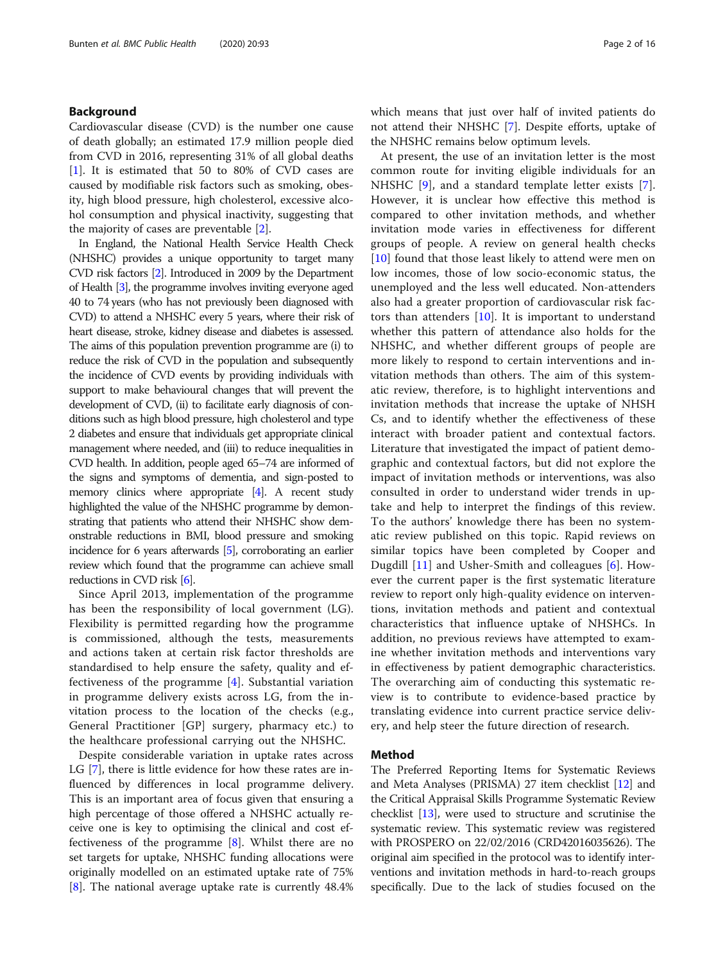#### Background

Cardiovascular disease (CVD) is the number one cause of death globally; an estimated 17.9 million people died from CVD in 2016, representing 31% of all global deaths [[1\]](#page-14-0). It is estimated that 50 to 80% of CVD cases are caused by modifiable risk factors such as smoking, obesity, high blood pressure, high cholesterol, excessive alcohol consumption and physical inactivity, suggesting that the majority of cases are preventable [[2\]](#page-14-0).

In England, the National Health Service Health Check (NHSHC) provides a unique opportunity to target many CVD risk factors [\[2](#page-14-0)]. Introduced in 2009 by the Department of Health [\[3](#page-14-0)], the programme involves inviting everyone aged 40 to 74 years (who has not previously been diagnosed with CVD) to attend a NHSHC every 5 years, where their risk of heart disease, stroke, kidney disease and diabetes is assessed. The aims of this population prevention programme are (i) to reduce the risk of CVD in the population and subsequently the incidence of CVD events by providing individuals with support to make behavioural changes that will prevent the development of CVD, (ii) to facilitate early diagnosis of conditions such as high blood pressure, high cholesterol and type 2 diabetes and ensure that individuals get appropriate clinical management where needed, and (iii) to reduce inequalities in CVD health. In addition, people aged 65–74 are informed of the signs and symptoms of dementia, and sign-posted to memory clinics where appropriate [[4](#page-14-0)]. A recent study highlighted the value of the NHSHC programme by demonstrating that patients who attend their NHSHC show demonstrable reductions in BMI, blood pressure and smoking incidence for 6 years afterwards [\[5\]](#page-14-0), corroborating an earlier review which found that the programme can achieve small reductions in CVD risk [\[6\]](#page-14-0).

Since April 2013, implementation of the programme has been the responsibility of local government (LG). Flexibility is permitted regarding how the programme is commissioned, although the tests, measurements and actions taken at certain risk factor thresholds are standardised to help ensure the safety, quality and effectiveness of the programme [[4\]](#page-14-0). Substantial variation in programme delivery exists across LG, from the invitation process to the location of the checks (e.g., General Practitioner [GP] surgery, pharmacy etc.) to the healthcare professional carrying out the NHSHC.

Despite considerable variation in uptake rates across LG [[7\]](#page-14-0), there is little evidence for how these rates are influenced by differences in local programme delivery. This is an important area of focus given that ensuring a high percentage of those offered a NHSHC actually receive one is key to optimising the clinical and cost effectiveness of the programme [\[8](#page-14-0)]. Whilst there are no set targets for uptake, NHSHC funding allocations were originally modelled on an estimated uptake rate of 75% [[8\]](#page-14-0). The national average uptake rate is currently 48.4% which means that just over half of invited patients do not attend their NHSHC [\[7](#page-14-0)]. Despite efforts, uptake of the NHSHC remains below optimum levels.

At present, the use of an invitation letter is the most common route for inviting eligible individuals for an NHSHC [[9](#page-14-0)], and a standard template letter exists [\[7](#page-14-0)]. However, it is unclear how effective this method is compared to other invitation methods, and whether invitation mode varies in effectiveness for different groups of people. A review on general health checks [[10\]](#page-14-0) found that those least likely to attend were men on low incomes, those of low socio-economic status, the unemployed and the less well educated. Non-attenders also had a greater proportion of cardiovascular risk factors than attenders  $[10]$  $[10]$  $[10]$ . It is important to understand whether this pattern of attendance also holds for the NHSHC, and whether different groups of people are more likely to respond to certain interventions and invitation methods than others. The aim of this systematic review, therefore, is to highlight interventions and invitation methods that increase the uptake of NHSH Cs, and to identify whether the effectiveness of these interact with broader patient and contextual factors. Literature that investigated the impact of patient demographic and contextual factors, but did not explore the impact of invitation methods or interventions, was also consulted in order to understand wider trends in uptake and help to interpret the findings of this review. To the authors' knowledge there has been no systematic review published on this topic. Rapid reviews on similar topics have been completed by Cooper and Dugdill [[11](#page-14-0)] and Usher-Smith and colleagues [\[6](#page-14-0)]. However the current paper is the first systematic literature review to report only high-quality evidence on interventions, invitation methods and patient and contextual characteristics that influence uptake of NHSHCs. In addition, no previous reviews have attempted to examine whether invitation methods and interventions vary in effectiveness by patient demographic characteristics. The overarching aim of conducting this systematic review is to contribute to evidence-based practice by translating evidence into current practice service delivery, and help steer the future direction of research.

#### Method

The Preferred Reporting Items for Systematic Reviews and Meta Analyses (PRISMA) 27 item checklist [\[12](#page-14-0)] and the Critical Appraisal Skills Programme Systematic Review checklist [[13](#page-14-0)], were used to structure and scrutinise the systematic review. This systematic review was registered with PROSPERO on 22/02/2016 (CRD42016035626). The original aim specified in the protocol was to identify interventions and invitation methods in hard-to-reach groups specifically. Due to the lack of studies focused on the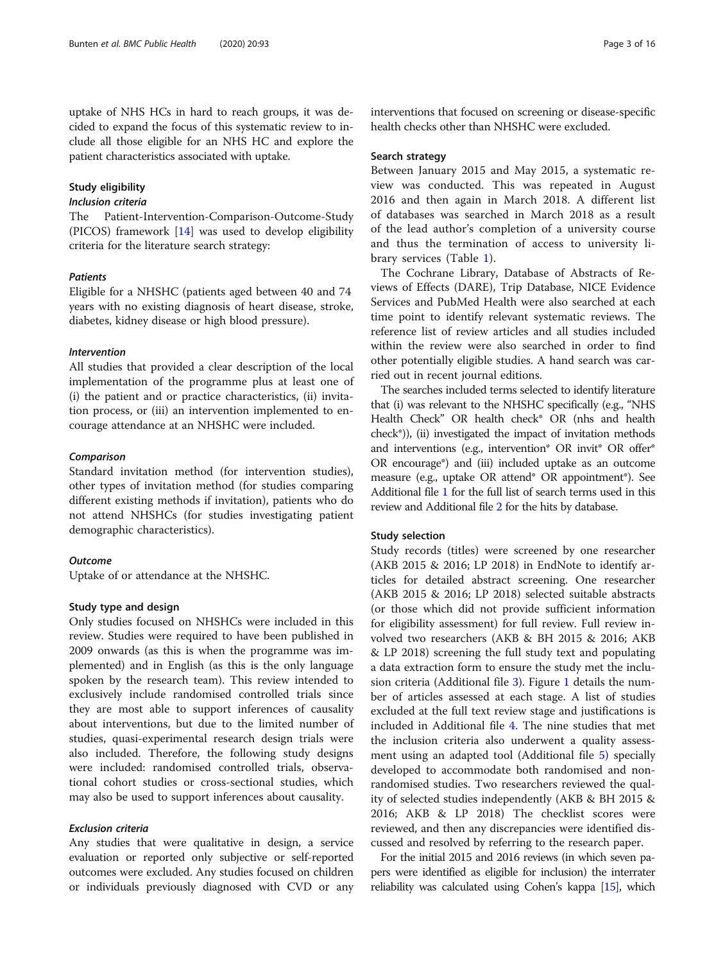uptake of NHS HCs in hard to reach groups, it was decided to expand the focus of this systematic review to include all those eligible for an NHS HC and explore the patient characteristics associated with uptake.

#### Study eligibility

#### Inclusion criteria

The Patient-Intervention-Comparison-Outcome-Study (PICOS) framework [[14](#page-14-0)] was used to develop eligibility criteria for the literature search strategy:

#### Patients

Eligible for a NHSHC (patients aged between 40 and 74 years with no existing diagnosis of heart disease, stroke, diabetes, kidney disease or high blood pressure).

#### Intervention

All studies that provided a clear description of the local implementation of the programme plus at least one of (i) the patient and or practice characteristics, (ii) invitation process, or (iii) an intervention implemented to encourage attendance at an NHSHC were included.

#### Comparison

Standard invitation method (for intervention studies), other types of invitation method (for studies comparing different existing methods if invitation), patients who do not attend NHSHCs (for studies investigating patient demographic characteristics).

#### **Outcome**

Uptake of or attendance at the NHSHC.

#### Study type and design

Only studies focused on NHSHCs were included in this review. Studies were required to have been published in 2009 onwards (as this is when the programme was implemented) and in English (as this is the only language spoken by the research team). This review intended to exclusively include randomised controlled trials since they are most able to support inferences of causality about interventions, but due to the limited number of studies, quasi-experimental research design trials were also included. Therefore, the following study designs were included: randomised controlled trials, observational cohort studies or cross-sectional studies, which may also be used to support inferences about causality.

#### Exclusion criteria

Any studies that were qualitative in design, a service evaluation or reported only subjective or self-reported outcomes were excluded. Any studies focused on children or individuals previously diagnosed with CVD or any interventions that focused on screening or disease-specific health checks other than NHSHC were excluded.

#### Search strategy

Between January 2015 and May 2015, a systematic review was conducted. This was repeated in August 2016 and then again in March 2018. A different list of databases was searched in March 2018 as a result of the lead author's completion of a university course and thus the termination of access to university library services (Table [1](#page-3-0)).

The Cochrane Library, Database of Abstracts of Reviews of Effects (DARE), Trip Database, NICE Evidence Services and PubMed Health were also searched at each time point to identify relevant systematic reviews. The reference list of review articles and all studies included within the review were also searched in order to find other potentially eligible studies. A hand search was carried out in recent journal editions.

The searches included terms selected to identify literature that (i) was relevant to the NHSHC specifically (e.g., "NHS Health Check" OR health check\* OR (nhs and health check\*)), (ii) investigated the impact of invitation methods and interventions (e.g., intervention\* OR invit\* OR offer\* OR encourage\*) and (iii) included uptake as an outcome measure (e.g., uptake OR attend\* OR appointment\*). See Additional file [1](#page-14-0) for the full list of search terms used in this review and Additional file [2](#page-14-0) for the hits by database.

#### Study selection

Study records (titles) were screened by one researcher (AKB 2015 & 2016; LP 2018) in EndNote to identify articles for detailed abstract screening. One researcher (AKB 2015 & 2016; LP 2018) selected suitable abstracts (or those which did not provide sufficient information for eligibility assessment) for full review. Full review involved two researchers (AKB & BH 2015 & 2016; AKB & LP 2018) screening the full study text and populating a data extraction form to ensure the study met the inclusion criteria (Additional file [3](#page-14-0)). Figure [1](#page-3-0) details the number of articles assessed at each stage. A list of studies excluded at the full text review stage and justifications is included in Additional file [4](#page-14-0). The nine studies that met the inclusion criteria also underwent a quality assessment using an adapted tool (Additional file [5](#page-14-0)) specially developed to accommodate both randomised and nonrandomised studies. Two researchers reviewed the quality of selected studies independently (AKB & BH 2015 & 2016; AKB & LP 2018) The checklist scores were reviewed, and then any discrepancies were identified discussed and resolved by referring to the research paper.

For the initial 2015 and 2016 reviews (in which seven papers were identified as eligible for inclusion) the interrater reliability was calculated using Cohen's kappa [[15\]](#page-14-0), which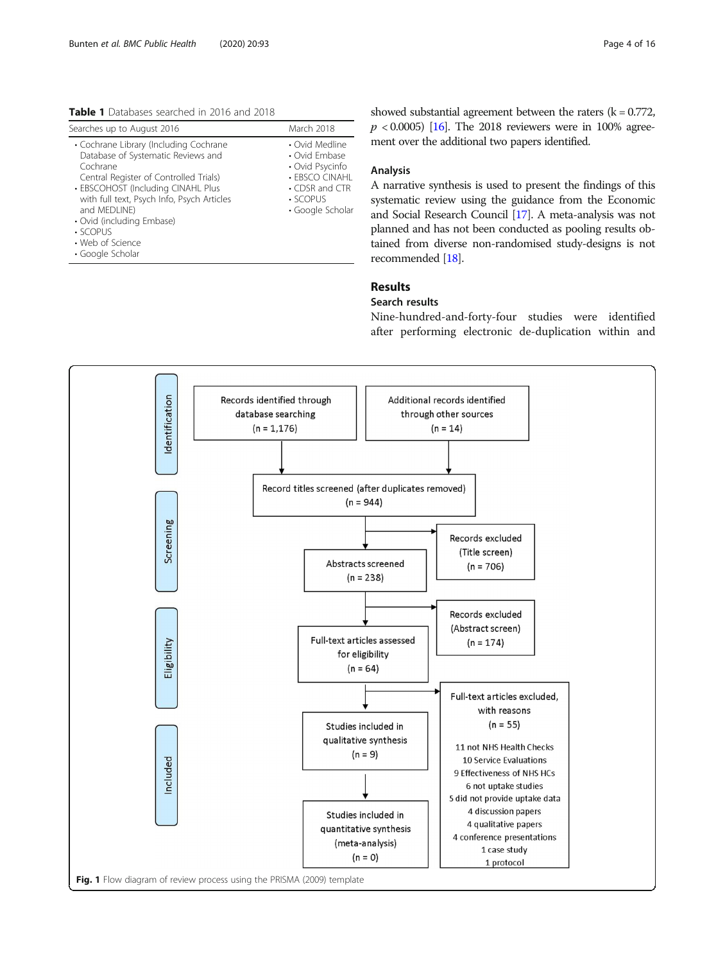<span id="page-3-0"></span>Table 1 Databases searched in 2016 and 2018

| Searches up to August 2016                                                                                                                                                                                                                                                                          | March 2018                                                                                                                   |
|-----------------------------------------------------------------------------------------------------------------------------------------------------------------------------------------------------------------------------------------------------------------------------------------------------|------------------------------------------------------------------------------------------------------------------------------|
| • Cochrane Library (Including Cochrane<br>Database of Systematic Reviews and<br>Cochrane<br>Central Register of Controlled Trials)<br>• EBSCOHOST (Including CINAHL Plus<br>with full text, Psych Info, Psych Articles<br>and MEDLINE)<br>• Ovid (including Embase)<br>· SCOPUS<br>• Web of Science | • Ovid Medline<br>• Ovid Embase<br>• Ovid Psycinfo<br>• EBSCO CINAHL<br>$\cdot$ CDSR and CTR<br>• SCOPUS<br>• Google Scholar |

• Google Scholar

showed substantial agreement between the raters  $(k = 0.772)$ ,  $p < 0.0005$  [[16](#page-14-0)]. The 2018 reviewers were in 100% agreement over the additional two papers identified.

#### Analysis

A narrative synthesis is used to present the findings of this systematic review using the guidance from the Economic and Social Research Council [[17](#page-14-0)]. A meta-analysis was not planned and has not been conducted as pooling results obtained from diverse non-randomised study-designs is not recommended [\[18](#page-14-0)].

#### Results

#### Search results

Nine-hundred-and-forty-four studies were identified after performing electronic de-duplication within and

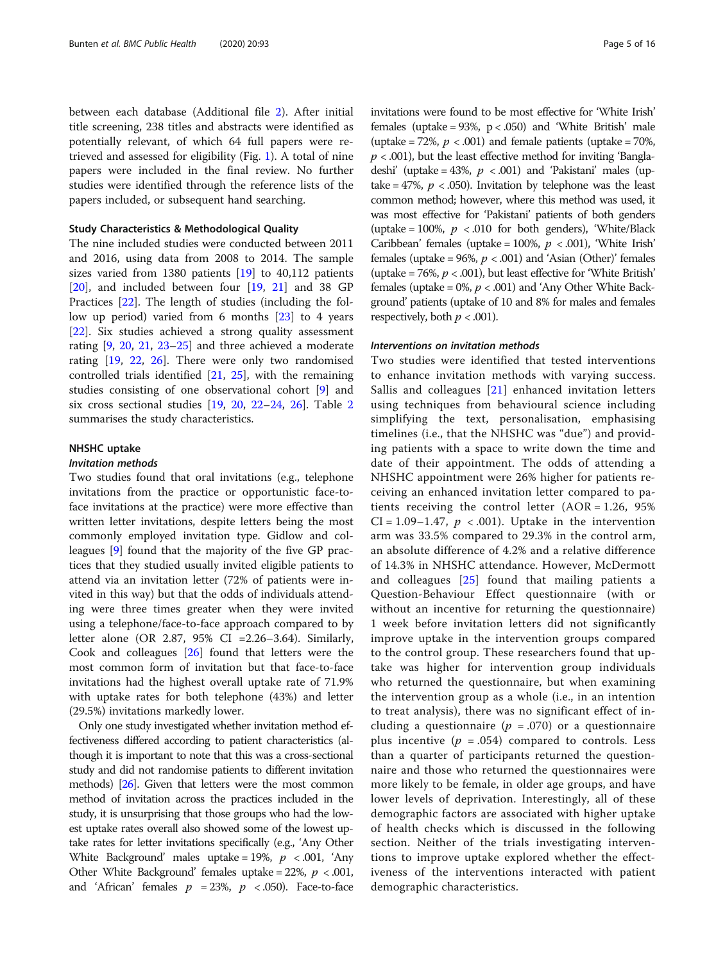between each database (Additional file [2](#page-14-0)). After initial title screening, 238 titles and abstracts were identified as potentially relevant, of which 64 full papers were retrieved and assessed for eligibility (Fig. [1](#page-3-0)). A total of nine papers were included in the final review. No further studies were identified through the reference lists of the papers included, or subsequent hand searching.

#### Study Characteristics & Methodological Quality

The nine included studies were conducted between 2011 and 2016, using data from 2008 to 2014. The sample sizes varied from 1380 patients [\[19\]](#page-14-0) to 40,112 patients [[20\]](#page-14-0), and included between four [\[19,](#page-14-0) [21](#page-14-0)] and 38 GP Practices [\[22](#page-14-0)]. The length of studies (including the follow up period) varied from 6 months [\[23\]](#page-14-0) to 4 years [[22\]](#page-14-0). Six studies achieved a strong quality assessment rating [\[9](#page-14-0), [20](#page-14-0), [21,](#page-14-0) [23](#page-14-0)–[25\]](#page-14-0) and three achieved a moderate rating [\[19](#page-14-0), [22](#page-14-0), [26\]](#page-15-0). There were only two randomised controlled trials identified [\[21](#page-14-0), [25\]](#page-14-0), with the remaining studies consisting of one observational cohort [\[9](#page-14-0)] and six cross sectional studies [[19](#page-14-0), [20,](#page-14-0) [22](#page-14-0)–[24,](#page-14-0) [26](#page-15-0)]. Table [2](#page-5-0) summarises the study characteristics.

#### NHSHC uptake

#### Invitation methods

Two studies found that oral invitations (e.g., telephone invitations from the practice or opportunistic face-toface invitations at the practice) were more effective than written letter invitations, despite letters being the most commonly employed invitation type. Gidlow and colleagues [\[9](#page-14-0)] found that the majority of the five GP practices that they studied usually invited eligible patients to attend via an invitation letter (72% of patients were invited in this way) but that the odds of individuals attending were three times greater when they were invited using a telephone/face-to-face approach compared to by letter alone (OR 2.87, 95% CI =2.26–3.64). Similarly, Cook and colleagues [\[26\]](#page-15-0) found that letters were the most common form of invitation but that face-to-face invitations had the highest overall uptake rate of 71.9% with uptake rates for both telephone (43%) and letter (29.5%) invitations markedly lower.

Only one study investigated whether invitation method effectiveness differed according to patient characteristics (although it is important to note that this was a cross-sectional study and did not randomise patients to different invitation methods) [\[26\]](#page-15-0). Given that letters were the most common method of invitation across the practices included in the study, it is unsurprising that those groups who had the lowest uptake rates overall also showed some of the lowest uptake rates for letter invitations specifically (e.g., 'Any Other White Background' males uptake = 19%,  $p < .001$ , 'Any Other White Background' females uptake =  $22\%$ ,  $p < .001$ , and 'African' females  $p = 23\%$ ,  $p \lt 0.050$ ). Face-to-face

invitations were found to be most effective for 'White Irish' females (uptake =  $93\%$ ,  $p < .050$ ) and 'White British' male (uptake = 72%,  $p < .001$ ) and female patients (uptake = 70%,  $p < .001$ ), but the least effective method for inviting 'Bangladeshi' (uptake = 43%,  $p < .001$ ) and 'Pakistani' males (uptake = 47%,  $p < .050$ ). Invitation by telephone was the least common method; however, where this method was used, it was most effective for 'Pakistani' patients of both genders (uptake = 100%,  $p$  < .010 for both genders), 'White/Black Caribbean' females (uptake = 100%,  $p$  < .001), 'White Irish' females (uptake =  $96\%, p < .001$ ) and 'Asian (Other)' females (uptake = 76%,  $p < .001$ ), but least effective for 'White British' females (uptake =  $0\%$ ,  $p < .001$ ) and 'Any Other White Background' patients (uptake of 10 and 8% for males and females respectively, both  $p < .001$ ).

#### Interventions on invitation methods

Two studies were identified that tested interventions to enhance invitation methods with varying success. Sallis and colleagues [\[21\]](#page-14-0) enhanced invitation letters using techniques from behavioural science including simplifying the text, personalisation, emphasising timelines (i.e., that the NHSHC was "due") and providing patients with a space to write down the time and date of their appointment. The odds of attending a NHSHC appointment were 26% higher for patients receiving an enhanced invitation letter compared to patients receiving the control letter  $(AOR = 1.26, 95\%)$  $CI = 1.09 - 1.47$ ,  $p < .001$ ). Uptake in the intervention arm was 33.5% compared to 29.3% in the control arm, an absolute difference of 4.2% and a relative difference of 14.3% in NHSHC attendance. However, McDermott and colleagues [\[25\]](#page-14-0) found that mailing patients a Question-Behaviour Effect questionnaire (with or without an incentive for returning the questionnaire) 1 week before invitation letters did not significantly improve uptake in the intervention groups compared to the control group. These researchers found that uptake was higher for intervention group individuals who returned the questionnaire, but when examining the intervention group as a whole (i.e., in an intention to treat analysis), there was no significant effect of including a questionnaire ( $p = .070$ ) or a questionnaire plus incentive ( $p = .054$ ) compared to controls. Less than a quarter of participants returned the questionnaire and those who returned the questionnaires were more likely to be female, in older age groups, and have lower levels of deprivation. Interestingly, all of these demographic factors are associated with higher uptake of health checks which is discussed in the following section. Neither of the trials investigating interventions to improve uptake explored whether the effectiveness of the interventions interacted with patient demographic characteristics.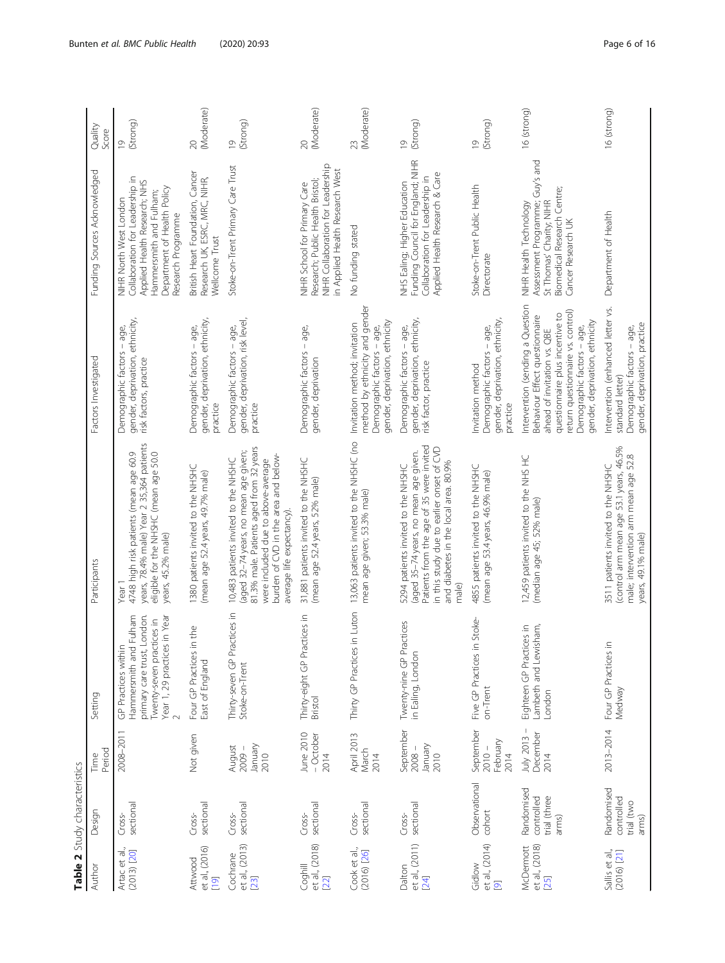<span id="page-5-0"></span>

|                                                     | Table 2 Study characteristics                     |                                           |                                                                                                                                           |                                                                                                                                                                                                                                     |                                                                                                                                                                                                                                           |                                                                                                                                                                           |                            |
|-----------------------------------------------------|---------------------------------------------------|-------------------------------------------|-------------------------------------------------------------------------------------------------------------------------------------------|-------------------------------------------------------------------------------------------------------------------------------------------------------------------------------------------------------------------------------------|-------------------------------------------------------------------------------------------------------------------------------------------------------------------------------------------------------------------------------------------|---------------------------------------------------------------------------------------------------------------------------------------------------------------------------|----------------------------|
| Author                                              | Design                                            | Period<br>Time                            | Setting                                                                                                                                   | Participants                                                                                                                                                                                                                        | Factors Investigated                                                                                                                                                                                                                      | Funding Sources Acknowledged                                                                                                                                              | Quality<br>Score           |
| Artac et al.,<br>$(2013)$ $[20]$                    | sectional<br>Cross-                               | 2008-2011                                 | primary care trust, London.<br>Hammersmith and Fulham<br>Year 1, 29 practices in Year<br>Iwenty-seven practices in<br>GP Practices within | years, 78.4% male) Year 2 35,364 patients<br>eligible for the NHSHC (mean age 50.0<br>4748 high risk patients (mean age 60.9<br>years, 45.2% male)<br>Year 1                                                                        | gender, deprivation, ethnicity,<br>Demographic factors - age,<br>risk factors, practice                                                                                                                                                   | Collaboration for Leadership in<br>Applied Health Research; NHS<br>Department of Health Policy<br>Hammersmith and Fulham;<br>NIHR North West London<br>Research Programme | (Strong)<br>$\overline{0}$ |
| et al., (2016)<br>Attwood<br>$\overline{[19]}$      | sectional<br>Cross-                               | Not given                                 | Four GP Practices in the<br>East of England                                                                                               | 1380 patients invited to the NHSHC<br>(mean age 52.4 years, 49.7% male)                                                                                                                                                             | gender, deprivation, ethnicity,<br>Demographic factors - age,<br>practice                                                                                                                                                                 | British Heart Foundation, Cancer<br>Research UK, ESRC, MRC, NIHR,<br>Wellcome Trust                                                                                       | (Moderate)<br>$\infty$     |
| et al., (2013)<br>Cochrane<br>[23]                  | sectional<br>Cross-                               | January<br>2010<br>August<br>$2009 -$     | Thirty-seven GP Practices in<br>Stoke-on-Trent                                                                                            | 81.3% male. Patients aged from 32 years<br>(aged 32-74 years, no mean age given;<br>burden of CVD in the area and below-<br>10,483 patients invited to the NHSHC<br>were included due to above-average<br>average life expectancy). | gender, deprivation, risk level,<br>Demographic factors - age,<br>practice                                                                                                                                                                | Stoke-on-Trent Primary Care Trust                                                                                                                                         | (Strong)<br>$\overline{0}$ |
| et al., (2018)<br>Coghill<br>22                     | sectional<br>Cross-                               | June 2010<br>- October<br>2014            | Thirty-eight GP Practices in<br>Bristol                                                                                                   | 31,881 patients invited to the NHSHC<br>(mean age 52.4 years, 52% male)                                                                                                                                                             | Demographic factors - age,<br>gender, deprivation                                                                                                                                                                                         | NIHR Collaboration for Leadership<br>n Applied Health Research West<br>Research; Public Health Bristol;<br>NIHR School for Primary Care                                   | (Moderate)<br>$\infty$     |
| Cook et al.,<br>$(2016)$ [26]                       | sectional<br>Cross-                               | April 2013<br>March<br>2014               | Thirty GP Practices in Luton                                                                                                              | 13,063 patients invited to the NHSHC (no<br>mean age given; 53.3% male)                                                                                                                                                             | method by ethnicity and gender<br>gender, deprivation, ethnicity<br>Invitation method; invitation<br>Demographic factors - age,                                                                                                           | No funding stated                                                                                                                                                         | (Moderate)<br>23           |
| et al., (2011)<br>Dalton<br>$[24]$                  | sectional<br>Cross-                               | September<br>January<br>$2008 -$<br>2010  | Practices<br>in Ealing, Londor<br>Twenty-nine GP                                                                                          | Patients from the age of 35 were invited<br>in this study due to earlier onset of CVD<br>(aged 35-74 years, no mean age given.<br>and diabetes in the local area. 80.9%<br>5294 patients invited to the NHSHC<br>male)              | gender, deprivation, ethnicity,<br>Demographic factors - age,<br>risk factor, practice                                                                                                                                                    | Funding Council for England; NIHR<br>Applied Health Research & Care<br>Collaboration for Leadership in<br>NHS Ealing; Higher Education                                    | (Strong)<br>$\overline{0}$ |
| et al., (2014)<br>Gidlow<br>$\overline{\mathbf{C}}$ | Observational<br>cohort                           | September<br>February<br>$2010 -$<br>2014 | in Stoke-<br>Five GP Practices<br>on-Trent                                                                                                | 4855 patients invited to the NHSHC<br>(mean age 53.4 years, 46.9% male)                                                                                                                                                             | gender, deprivation, ethnicity,<br>Demographic factors - age,<br>Invitation method<br>practice                                                                                                                                            | Stoke-on-Trent Public Health<br>Directorate                                                                                                                               | (Strong)<br>$\overline{0}$ |
| et al., (2018)<br>McDermott<br>$[25]$               | Randomised<br>trial (three<br>controlled<br>arms) | July 2013 -<br>December<br>2014           | Eighteen GP Practices in<br>Lambeth and Lewisham,<br>London                                                                               | 12,459 patients invited to the NHS HC<br>(median age 45; 52% male)                                                                                                                                                                  | Intervention (sending a Question<br>return questionnaire vs. control)<br>questionnaire plus incentive to<br>Behaviour Effect questionnaire<br>gender, deprivation, ethnicity<br>Demographic factors - age,<br>ahead of invitation vs. QBE | Assessment Programme; Guy's and<br>Biomedical Research Centre;<br>St Thomas' Charity; NIHR<br>NIHR Health Technology<br>Cancer Research UK                                | 16 (strong)                |
| Sallis et al.,<br>$(2016)$ [21]                     | Randomised<br>controlled<br>trial (two<br>arms)   | 2013-2014                                 | Four GP Practices in<br>Wedway                                                                                                            | (control arm mean age 53.1 years, 46.5%<br>male; intervention arm mean age 52.8<br>3511 patients invited to the NHSHC<br>years, 49.1% male)                                                                                         | Intervention (enhanced letter vs.<br>gender, deprivation, practice<br>Demographic factors - age,<br>standard letter)                                                                                                                      | Department of Health                                                                                                                                                      | 16 (strong)                |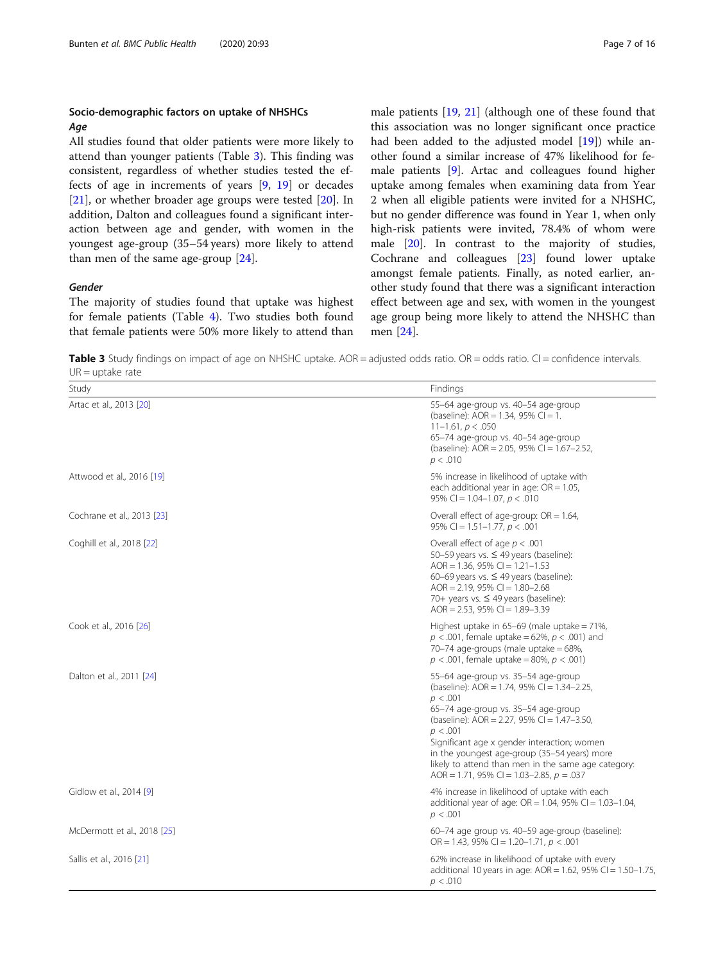#### Socio-demographic factors on uptake of NHSHCs Age

All studies found that older patients were more likely to attend than younger patients (Table 3). This finding was consistent, regardless of whether studies tested the effects of age in increments of years [\[9](#page-14-0), [19](#page-14-0)] or decades [[21\]](#page-14-0), or whether broader age groups were tested [\[20](#page-14-0)]. In addition, Dalton and colleagues found a significant interaction between age and gender, with women in the youngest age-group (35–54 years) more likely to attend than men of the same age-group [[24](#page-14-0)].

#### Gender

The majority of studies found that uptake was highest for female patients (Table [4](#page-7-0)). Two studies both found that female patients were 50% more likely to attend than male patients [\[19](#page-14-0), [21\]](#page-14-0) (although one of these found that this association was no longer significant once practice had been added to the adjusted model [\[19](#page-14-0)]) while another found a similar increase of 47% likelihood for female patients [[9\]](#page-14-0). Artac and colleagues found higher uptake among females when examining data from Year 2 when all eligible patients were invited for a NHSHC, but no gender difference was found in Year 1, when only high-risk patients were invited, 78.4% of whom were male [[20\]](#page-14-0). In contrast to the majority of studies, Cochrane and colleagues [[23\]](#page-14-0) found lower uptake amongst female patients. Finally, as noted earlier, another study found that there was a significant interaction effect between age and sex, with women in the youngest age group being more likely to attend the NHSHC than men [[24\]](#page-14-0).

**Table 3** Study findings on impact of age on NHSHC uptake.  $AOR =$  adjusted odds ratio.  $OR =$  odds ratio.  $Cl =$  confidence intervals.  $UR = uptake rate$ 

| Study                       | Findings                                                                                                                                                                                                                                                                                                                                                                                             |
|-----------------------------|------------------------------------------------------------------------------------------------------------------------------------------------------------------------------------------------------------------------------------------------------------------------------------------------------------------------------------------------------------------------------------------------------|
| Artac et al., 2013 [20]     | 55-64 age-group vs. 40-54 age-group<br>(baseline): $AOR = 1.34$ , 95% Cl = 1.<br>$11 - 1.61$ , $p < .050$<br>65-74 age-group vs. 40-54 age-group<br>(baseline): AOR = 2.05, 95% CI = 1.67-2.52,<br>p < .010                                                                                                                                                                                          |
| Attwood et al., 2016 [19]   | 5% increase in likelihood of uptake with<br>each additional year in age: $OR = 1.05$ ,<br>95% CI = $1.04 - 1.07$ , $p < .010$                                                                                                                                                                                                                                                                        |
| Cochrane et al., 2013 [23]  | Overall effect of age-group: $OR = 1.64$ ,<br>95% CI = $1.51-1.77$ , $p < .001$                                                                                                                                                                                                                                                                                                                      |
| Coghill et al., 2018 [22]   | Overall effect of age $p < .001$<br>50-59 years vs. $\leq$ 49 years (baseline):<br>AOR = 1.36, 95% CI = $1.21 - 1.53$<br>60-69 years vs. $\leq$ 49 years (baseline):<br>AOR = $2.19$ , 95% CI = $1.80 - 2.68$<br>70+ years vs. ≤ 49 years (baseline):<br>AOR = $2.53$ , $95\%$ CI = $1.89-3.39$                                                                                                      |
| Cook et al., 2016 [26]      | Highest uptake in $65-69$ (male uptake = $71\%$ ,<br>$p < .001$ , female uptake = 62%, $p < .001$ ) and<br>70-74 age-groups (male uptake = $68\%$ ,<br>$p < .001$ , female uptake = 80%, $p < .001$ )                                                                                                                                                                                                |
| Dalton et al., 2011 [24]    | 55-64 age-group vs. 35-54 age-group<br>(baseline): AOR = 1.74, 95% CI = 1.34-2.25,<br>p < .001<br>65-74 age-group vs. 35-54 age-group<br>(baseline): AOR = 2.27, 95% CI = 1.47-3.50,<br>p < .001<br>Significant age x gender interaction; women<br>in the youngest age-group (35-54 years) more<br>likely to attend than men in the same age category:<br>AOR = 1.71, 95% CI = 1.03-2.85, $p = .037$ |
| Gidlow et al., 2014 [9]     | 4% increase in likelihood of uptake with each<br>additional year of age: $OR = 1.04$ , 95% CI = 1.03-1.04,<br>p < .001                                                                                                                                                                                                                                                                               |
| McDermott et al., 2018 [25] | 60-74 age group vs. 40-59 age-group (baseline):<br>OR = 1.43, 95% CI = 1.20-1.71, $p < .001$                                                                                                                                                                                                                                                                                                         |
| Sallis et al., 2016 [21]    | 62% increase in likelihood of uptake with every<br>additional 10 years in age: $AOR = 1.62$ , 95% CI = 1.50-1.75,<br>p < .010                                                                                                                                                                                                                                                                        |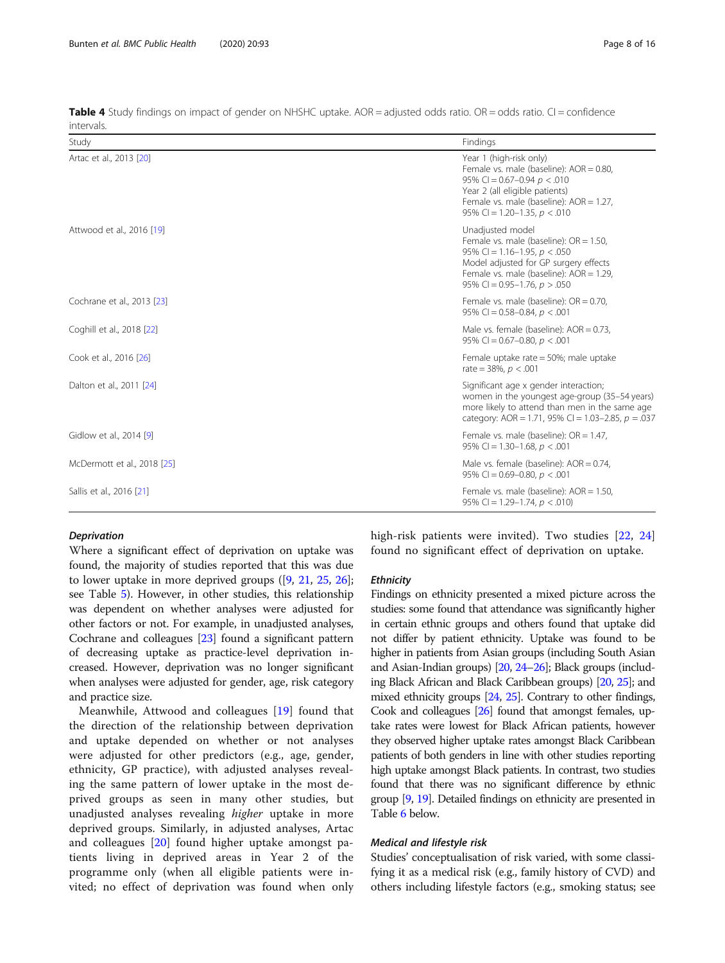| Study                       | Findings                                                                                                                                                                                                                 |
|-----------------------------|--------------------------------------------------------------------------------------------------------------------------------------------------------------------------------------------------------------------------|
| Artac et al., 2013 [20]     | Year 1 (high-risk only)<br>Female vs. male (baseline): $AOR = 0.80$ ,<br>95% CI = $0.67 - 0.94$ p < 0.010<br>Year 2 (all eligible patients)<br>Female vs. male (baseline): AOR = 1.27,<br>95% CI = 1.20-1.35, $p < .010$ |
| Attwood et al., 2016 [19]   | Unadjusted model<br>Female vs. male (baseline): $OR = 1.50$ ,<br>95% CI = 1.16-1.95, $p < .050$<br>Model adjusted for GP surgery effects<br>Female vs. male (baseline): AOR = 1.29,<br>95% CI = $0.95-1.76$ , $p > .050$ |
| Cochrane et al., 2013 [23]  | Female vs. male (baseline): $OR = 0.70$ ,<br>95% CI = $0.58 - 0.84$ , $p < .001$                                                                                                                                         |
| Coghill et al., 2018 [22]   | Male vs. female (baseline): $AOR = 0.73$ ,<br>95% CI = $0.67-0.80$ , $p < 0.01$                                                                                                                                          |
| Cook et al., 2016 [26]      | Female uptake rate = 50%; male uptake<br>rate = $38\%$ , $p < .001$                                                                                                                                                      |
| Dalton et al., 2011 [24]    | Significant age x gender interaction;<br>women in the youngest age-group (35-54 years)<br>more likely to attend than men in the same age<br>category: AOR = 1.71, 95% CI = 1.03-2.85, $p = .037$                         |
| Gidlow et al., 2014 [9]     | Female vs. male (baseline): $OR = 1.47$ ,<br>95% CI = 1.30-1.68, $p < .001$                                                                                                                                              |
| McDermott et al., 2018 [25] | Male vs. female (baseline): $AOR = 0.74$ ,<br>95% CI = $0.69 - 0.80$ , $p < 0.001$                                                                                                                                       |
| Sallis et al., 2016 [21]    | Female vs. male (baseline): $AOR = 1.50$ ,<br>95% CI = 1.29-1.74, $p < .010$ )                                                                                                                                           |

<span id="page-7-0"></span>**Table 4** Study findings on impact of gender on NHSHC uptake.  $AOR =$  adjusted odds ratio. OR = odds ratio. CI = confidence intervals.

#### Deprivation

Where a significant effect of deprivation on uptake was found, the majority of studies reported that this was due to lower uptake in more deprived groups ([\[9,](#page-14-0) [21,](#page-14-0) [25](#page-14-0), [26](#page-15-0)]; see Table [5](#page-8-0)). However, in other studies, this relationship was dependent on whether analyses were adjusted for other factors or not. For example, in unadjusted analyses, Cochrane and colleagues [\[23\]](#page-14-0) found a significant pattern of decreasing uptake as practice-level deprivation increased. However, deprivation was no longer significant when analyses were adjusted for gender, age, risk category and practice size.

Meanwhile, Attwood and colleagues [[19\]](#page-14-0) found that the direction of the relationship between deprivation and uptake depended on whether or not analyses were adjusted for other predictors (e.g., age, gender, ethnicity, GP practice), with adjusted analyses revealing the same pattern of lower uptake in the most deprived groups as seen in many other studies, but unadjusted analyses revealing higher uptake in more deprived groups. Similarly, in adjusted analyses, Artac and colleagues [[20\]](#page-14-0) found higher uptake amongst patients living in deprived areas in Year 2 of the programme only (when all eligible patients were invited; no effect of deprivation was found when only high-risk patients were invited). Two studies [\[22](#page-14-0), [24](#page-14-0)] found no significant effect of deprivation on uptake.

#### **Ethnicity**

Findings on ethnicity presented a mixed picture across the studies: some found that attendance was significantly higher in certain ethnic groups and others found that uptake did not differ by patient ethnicity. Uptake was found to be higher in patients from Asian groups (including South Asian and Asian-Indian groups) [\[20,](#page-14-0) [24](#page-14-0)–[26\]](#page-15-0); Black groups (including Black African and Black Caribbean groups) [\[20](#page-14-0), [25](#page-14-0)]; and mixed ethnicity groups [\[24](#page-14-0), [25\]](#page-14-0). Contrary to other findings, Cook and colleagues [\[26](#page-15-0)] found that amongst females, uptake rates were lowest for Black African patients, however they observed higher uptake rates amongst Black Caribbean patients of both genders in line with other studies reporting high uptake amongst Black patients. In contrast, two studies found that there was no significant difference by ethnic group [\[9,](#page-14-0) [19\]](#page-14-0). Detailed findings on ethnicity are presented in Table [6](#page-9-0) below.

#### Medical and lifestyle risk

Studies' conceptualisation of risk varied, with some classifying it as a medical risk (e.g., family history of CVD) and others including lifestyle factors (e.g., smoking status; see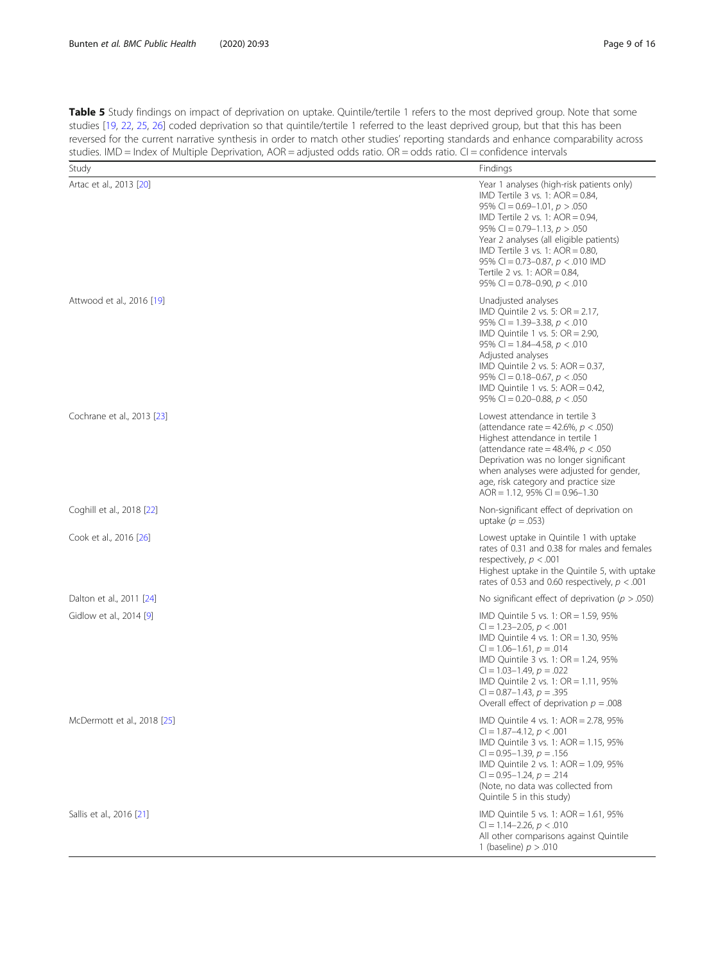<span id="page-8-0"></span>Table 5 Study findings on impact of deprivation on uptake. Quintile/tertile 1 refers to the most deprived group. Note that some studies [[19](#page-14-0), [22](#page-14-0), [25,](#page-14-0) [26\]](#page-15-0) coded deprivation so that quintile/tertile 1 referred to the least deprived group, but that this has been reversed for the current narrative synthesis in order to match other studies' reporting standards and enhance comparability across studies. IMD = Index of Multiple Deprivation, AOR = adjusted odds ratio. OR = odds ratio. CI = confidence intervals

| Study                       | Findings                                                                                                                                                                                                                                                                                                                                                                                   |
|-----------------------------|--------------------------------------------------------------------------------------------------------------------------------------------------------------------------------------------------------------------------------------------------------------------------------------------------------------------------------------------------------------------------------------------|
| Artac et al., 2013 [20]     | Year 1 analyses (high-risk patients only)<br>IMD Tertile 3 vs. 1: $AOR = 0.84$ ,<br>95% CI = $0.69 - 1.01$ , $p > .050$<br>IMD Tertile 2 vs. 1: AOR = $0.94$ ,<br>95% CI = 0.79-1.13, $p > .050$<br>Year 2 analyses (all eligible patients)<br>IMD Tertile 3 vs. 1: $AOR = 0.80$ ,<br>95% CI = 0.73-0.87, $p < .010$ IMD<br>Tertile 2 vs. 1: AOR = 0.84,<br>95% CI = 0.78-0.90, $p < .010$ |
| Attwood et al., 2016 [19]   | Unadjusted analyses<br>IMD Quintile 2 vs. 5: $OR = 2.17$ ,<br>95% CI = 1.39-3.38, $p < .010$<br>IMD Quintile 1 vs. 5: $OR = 2.90$ ,<br>95% CI = 1.84–4.58, $p < .010$<br>Adjusted analyses<br>IMD Quintile 2 vs. 5: $AOR = 0.37$ ,<br>95% CI = 0.18-0.67, $p < .050$<br>IMD Quintile 1 vs. 5: $AOR = 0.42$ ,<br>95% CI = 0.20–0.88, $p < .050$                                             |
| Cochrane et al., 2013 [23]  | Lowest attendance in tertile 3<br>(attendance rate = 42.6%, $p < .050$ )<br>Highest attendance in tertile 1<br>(attendance rate = 48.4%, $p < .050$<br>Deprivation was no longer significant<br>when analyses were adjusted for gender,<br>age, risk category and practice size<br>AOR = 1.12, 95% CI = $0.96 - 1.30$                                                                      |
| Coghill et al., 2018 [22]   | Non-significant effect of deprivation on<br>uptake ( $p = .053$ )                                                                                                                                                                                                                                                                                                                          |
| Cook et al., 2016 [26]      | Lowest uptake in Quintile 1 with uptake<br>rates of 0.31 and 0.38 for males and females<br>respectively, $p < .001$<br>Highest uptake in the Quintile 5, with uptake<br>rates of 0.53 and 0.60 respectively, $p < .001$                                                                                                                                                                    |
| Dalton et al., 2011 [24]    | No significant effect of deprivation ( $p > .050$ )                                                                                                                                                                                                                                                                                                                                        |
| Gidlow et al., 2014 [9]     | IMD Quintile 5 vs. 1: OR = 1.59, 95%<br>$Cl = 1.23 - 2.05, p < .001$<br>IMD Quintile 4 vs. 1: OR = 1.30, 95%<br>$Cl = 1.06 - 1.61, p = .014$<br>IMD Quintile 3 vs. 1: $OR = 1.24$ , 95%<br>$Cl = 1.03 - 1.49, p = .022$<br>IMD Quintile 2 vs. 1: OR = 1.11, 95%<br>$Cl = 0.87 - 1.43$ , $p = .395$<br>Overall effect of deprivation $p = .008$                                             |
| McDermott et al., 2018 [25] | IMD Quintile 4 vs. 1: AOR = 2.78, 95%<br>$Cl = 1.87 - 4.12, p < .001$<br>IMD Quintile 3 vs. 1: AOR = 1.15, 95%<br>$Cl = 0.95 - 1.39, p = .156$<br>$IMD$ Quintile 2 vs. 1: AOR = 1.09, 95%<br>$Cl = 0.95 - 1.24, p = .214$<br>(Note, no data was collected from<br>Quintile 5 in this study)                                                                                                |
| Sallis et al., 2016 [21]    | IMD Quintile 5 vs. 1: AOR = 1.61, 95%<br>$Cl = 1.14 - 2.26, p < .010$<br>All other comparisons against Quintile<br>1 (baseline) $p > .010$                                                                                                                                                                                                                                                 |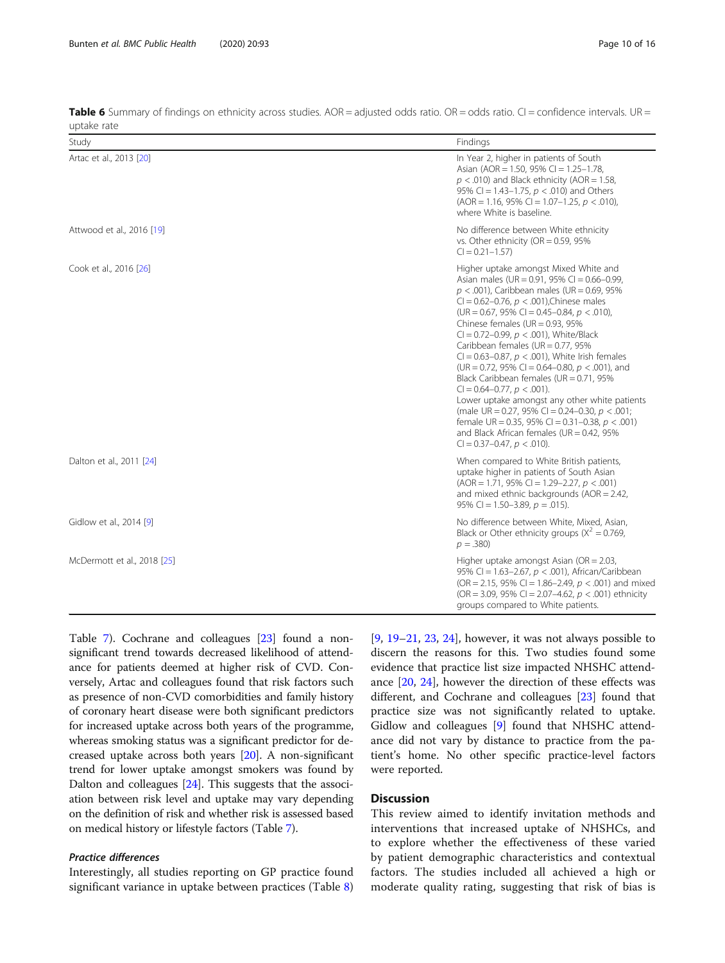| Study                       | Findings                                                                                                                                                                                                                                                                                                                                                                                                                                                                                                                                                                                                                                                                                                                                                                                                              |
|-----------------------------|-----------------------------------------------------------------------------------------------------------------------------------------------------------------------------------------------------------------------------------------------------------------------------------------------------------------------------------------------------------------------------------------------------------------------------------------------------------------------------------------------------------------------------------------------------------------------------------------------------------------------------------------------------------------------------------------------------------------------------------------------------------------------------------------------------------------------|
| Artac et al., 2013 [20]     | In Year 2, higher in patients of South<br>Asian (AOR = 1.50, 95% CI = 1.25-1.78,<br>$p < .010$ ) and Black ethnicity (AOR = 1.58,<br>95% CI = 1.43-1.75, $p < .010$ ) and Others<br>$(AOR = 1.16, 95\% \text{ Cl} = 1.07-1.25, p < .010),$<br>where White is baseline.                                                                                                                                                                                                                                                                                                                                                                                                                                                                                                                                                |
| Attwood et al., 2016 [19]   | No difference between White ethnicity<br>vs. Other ethnicity ( $OR = 0.59$ , 95%<br>$Cl = 0.21 - 1.57$                                                                                                                                                                                                                                                                                                                                                                                                                                                                                                                                                                                                                                                                                                                |
| Cook et al., 2016 [26]      | Higher uptake amongst Mixed White and<br>Asian males (UR = 0.91, 95% CI = 0.66-0.99,<br>$p < .001$ ), Caribbean males (UR = 0.69, 95%<br>CI = 0.62-0.76, $p < .001$ ), Chinese males<br>$(UR = 0.67, 95\% CI = 0.45 - 0.84, p < .010)$<br>Chinese females ( $UR = 0.93$ , 95%<br>CI = 0.72-0.99, $p < .001$ ), White/Black<br>Caribbean females ( $UR = 0.77$ , 95%<br>CI = 0.63-0.87, $p < .001$ ), White Irish females<br>(UR = 0.72, 95% CI = 0.64–0.80, $p < .001$ ), and<br>Black Caribbean females ( $UR = 0.71$ , 95%<br>$Cl = 0.64 - 0.77$ , $p < .001$ ).<br>Lower uptake amongst any other white patients<br>(male UR = 0.27, 95% CI = 0.24-0.30, $p < .001$ ;<br>female UR = 0.35, 95% CI = 0.31-0.38, $p < .001$ )<br>and Black African females ( $UR = 0.42$ , 95%<br>$Cl = 0.37 - 0.47$ , $p < .010$ ). |
| Dalton et al., 2011 [24]    | When compared to White British patients,<br>uptake higher in patients of South Asian<br>$(AOR = 1.71, 95\% \text{ Cl} = 1.29 - 2.27, p < .001)$<br>and mixed ethnic backgrounds ( $AOR = 2.42$ ,<br>95% CI = 1.50-3.89, $p = .015$ ).                                                                                                                                                                                                                                                                                                                                                                                                                                                                                                                                                                                 |
| Gidlow et al., 2014 [9]     | No difference between White, Mixed, Asian,<br>Black or Other ethnicity groups ( $X^2 = 0.769$ ,<br>$p = .380$                                                                                                                                                                                                                                                                                                                                                                                                                                                                                                                                                                                                                                                                                                         |
| McDermott et al., 2018 [25] | Higher uptake amongst Asian ( $OR = 2.03$ ,<br>95% CI = 1.63-2.67, $p < .001$ ), African/Caribbean<br>(OR = 2.15, 95% CI = 1.86-2.49, $p < .001$ ) and mixed<br>(OR = 3.09, 95% CI = 2.07-4.62, $p < .001$ ) ethnicity<br>groups compared to White patients.                                                                                                                                                                                                                                                                                                                                                                                                                                                                                                                                                          |

<span id="page-9-0"></span>Table 6 Summary of findings on ethnicity across studies.  $AOR =$  adjusted odds ratio. OR = odds ratio. CI = confidence intervals. UR = uptake rate

Table [7\)](#page-10-0). Cochrane and colleagues [\[23\]](#page-14-0) found a nonsignificant trend towards decreased likelihood of attendance for patients deemed at higher risk of CVD. Conversely, Artac and colleagues found that risk factors such as presence of non-CVD comorbidities and family history of coronary heart disease were both significant predictors for increased uptake across both years of the programme, whereas smoking status was a significant predictor for decreased uptake across both years [\[20](#page-14-0)]. A non-significant trend for lower uptake amongst smokers was found by Dalton and colleagues [[24](#page-14-0)]. This suggests that the association between risk level and uptake may vary depending on the definition of risk and whether risk is assessed based on medical history or lifestyle factors (Table [7\)](#page-10-0).

#### Practice differences

Interestingly, all studies reporting on GP practice found significant variance in uptake between practices (Table [8](#page-10-0))

 $[9, 19-21, 23, 24]$  $[9, 19-21, 23, 24]$  $[9, 19-21, 23, 24]$  $[9, 19-21, 23, 24]$  $[9, 19-21, 23, 24]$  $[9, 19-21, 23, 24]$  $[9, 19-21, 23, 24]$  $[9, 19-21, 23, 24]$  $[9, 19-21, 23, 24]$  $[9, 19-21, 23, 24]$ , however, it was not always possible to discern the reasons for this. Two studies found some evidence that practice list size impacted NHSHC attendance [[20,](#page-14-0) [24](#page-14-0)], however the direction of these effects was different, and Cochrane and colleagues [\[23\]](#page-14-0) found that practice size was not significantly related to uptake. Gidlow and colleagues [\[9](#page-14-0)] found that NHSHC attendance did not vary by distance to practice from the patient's home. No other specific practice-level factors were reported.

#### **Discussion**

This review aimed to identify invitation methods and interventions that increased uptake of NHSHCs, and to explore whether the effectiveness of these varied by patient demographic characteristics and contextual factors. The studies included all achieved a high or moderate quality rating, suggesting that risk of bias is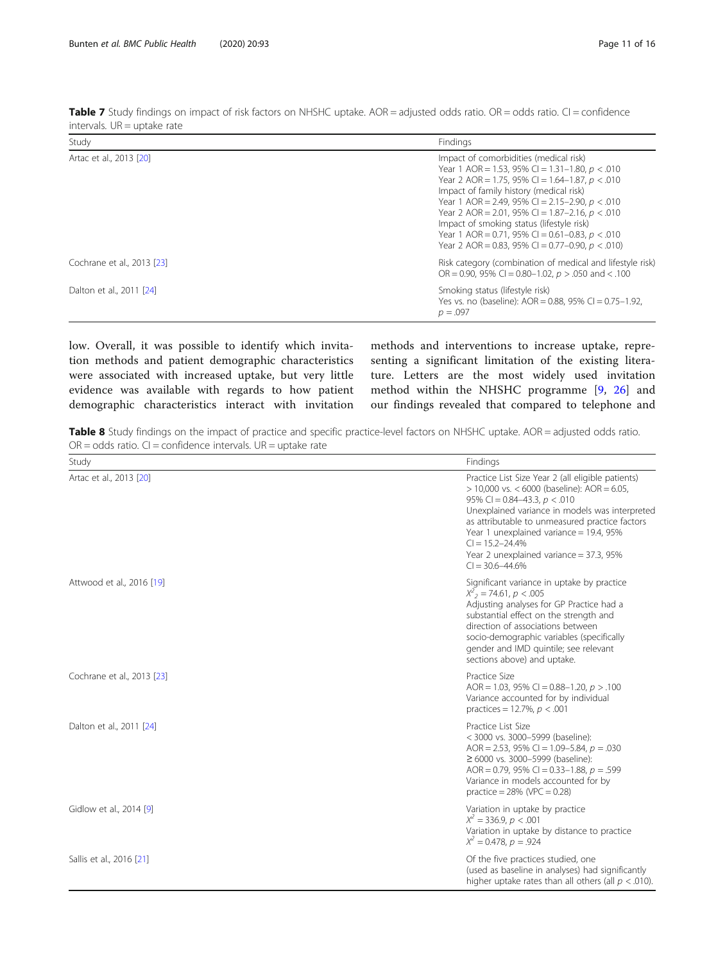| Study                      | Findings                                                                                                                                                                                                                                                                                                                                                                                                                                                       |
|----------------------------|----------------------------------------------------------------------------------------------------------------------------------------------------------------------------------------------------------------------------------------------------------------------------------------------------------------------------------------------------------------------------------------------------------------------------------------------------------------|
| Artac et al., 2013 [20]    | Impact of comorbidities (medical risk)<br>Year 1 AOR = 1.53, 95% CI = 1.31-1.80, $p < .010$<br>Year 2 AOR = 1.75, 95% CI = 1.64-1.87, $p < .010$<br>Impact of family history (medical risk)<br>Year 1 AOR = 2.49, 95% CI = 2.15-2.90, $p < .010$<br>Year 2 AOR = 2.01, 95% CI = 1.87-2.16, $p < .010$<br>Impact of smoking status (lifestyle risk)<br>Year 1 AOR = 0.71, 95% CI = 0.61-0.83, $p < .010$<br>Year 2 AOR = 0.83, 95% CI = 0.77-0.90, $p < .010$ ) |
| Cochrane et al., 2013 [23] | Risk category (combination of medical and lifestyle risk)<br>OR = 0.90, 95% CI = 0.80-1.02, $p > .050$ and < .100                                                                                                                                                                                                                                                                                                                                              |
| Dalton et al., 2011 [24]   | Smoking status (lifestyle risk)<br>Yes vs. no (baseline): AOR = 0.88, 95% CI = 0.75-1.92,<br>$p = .097$                                                                                                                                                                                                                                                                                                                                                        |

<span id="page-10-0"></span>Table 7 Study findings on impact of risk factors on NHSHC uptake. AOR = adjusted odds ratio. OR = odds ratio. CI = confidence intervals. UR = uptake rate

low. Overall, it was possible to identify which invitation methods and patient demographic characteristics were associated with increased uptake, but very little evidence was available with regards to how patient demographic characteristics interact with invitation methods and interventions to increase uptake, representing a significant limitation of the existing literature. Letters are the most widely used invitation method within the NHSHC programme [\[9](#page-14-0), [26](#page-15-0)] and our findings revealed that compared to telephone and

Table 8 Study findings on the impact of practice and specific practice-level factors on NHSHC uptake. AOR = adjusted odds ratio.  $OR = odds$  ratio.  $CI = confidence$  intervals.  $UR = uptake$  rate

| Study                      | Findings                                                                                                                                                                                                                                                                                                                                                                          |
|----------------------------|-----------------------------------------------------------------------------------------------------------------------------------------------------------------------------------------------------------------------------------------------------------------------------------------------------------------------------------------------------------------------------------|
| Artac et al., 2013 [20]    | Practice List Size Year 2 (all eligible patients)<br>$>$ 10,000 vs. < 6000 (baseline): AOR = 6.05,<br>95% CI = $0.84-43.3$ , $p < 0.010$<br>Unexplained variance in models was interpreted<br>as attributable to unmeasured practice factors<br>Year 1 unexplained variance = 19.4, 95%<br>$Cl = 15.2 - 24.4%$<br>Year 2 unexplained variance = 37.3, 95%<br>$Cl = 30.6 - 44.6\%$ |
| Attwood et al., 2016 [19]  | Significant variance in uptake by practice<br>$X^2$ <sub>2</sub> = 74.61, p < 005<br>Adjusting analyses for GP Practice had a<br>substantial effect on the strength and<br>direction of associations between<br>socio-demographic variables (specifically<br>gender and IMD quintile; see relevant<br>sections above) and uptake.                                                 |
| Cochrane et al., 2013 [23] | Practice Size<br>AOR = 1.03, 95% CI = 0.88-1.20, $p > 0.100$<br>Variance accounted for by individual<br>practices = 12.7%, $p < .001$                                                                                                                                                                                                                                             |
| Dalton et al., 2011 [24]   | Practice List Size<br>< 3000 vs. 3000-5999 (baseline):<br>AOR = 2.53, 95% CI = 1.09-5.84, $p = .030$<br>$≥$ 6000 vs. 3000-5999 (baseline):<br>AOR = 0.79, 95% CI = 0.33-1.88, $p = .599$<br>Variance in models accounted for by<br>practice = $28\%$ (VPC = 0.28)                                                                                                                 |
| Gidlow et al., 2014 [9]    | Variation in uptake by practice<br>$X^2 = 336.9$ , $p < .001$<br>Variation in uptake by distance to practice<br>$X^2 = 0.478$ , $p = 0.924$                                                                                                                                                                                                                                       |
| Sallis et al., 2016 [21]   | Of the five practices studied, one<br>(used as baseline in analyses) had significantly<br>higher uptake rates than all others (all $p < .010$ ).                                                                                                                                                                                                                                  |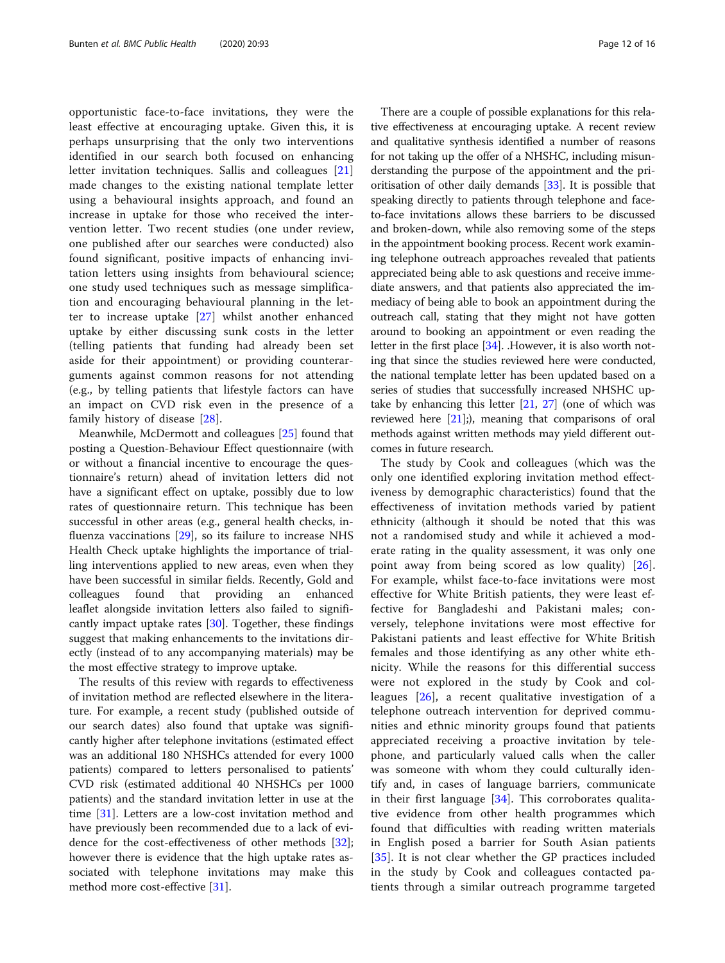opportunistic face-to-face invitations, they were the least effective at encouraging uptake. Given this, it is perhaps unsurprising that the only two interventions identified in our search both focused on enhancing letter invitation techniques. Sallis and colleagues [\[21](#page-14-0)] made changes to the existing national template letter using a behavioural insights approach, and found an increase in uptake for those who received the intervention letter. Two recent studies (one under review, one published after our searches were conducted) also found significant, positive impacts of enhancing invitation letters using insights from behavioural science; one study used techniques such as message simplification and encouraging behavioural planning in the letter to increase uptake [[27\]](#page-15-0) whilst another enhanced uptake by either discussing sunk costs in the letter (telling patients that funding had already been set aside for their appointment) or providing counterarguments against common reasons for not attending (e.g., by telling patients that lifestyle factors can have an impact on CVD risk even in the presence of a family history of disease [\[28](#page-15-0)].

Meanwhile, McDermott and colleagues [[25\]](#page-14-0) found that posting a Question-Behaviour Effect questionnaire (with or without a financial incentive to encourage the questionnaire's return) ahead of invitation letters did not have a significant effect on uptake, possibly due to low rates of questionnaire return. This technique has been successful in other areas (e.g., general health checks, influenza vaccinations [[29\]](#page-15-0), so its failure to increase NHS Health Check uptake highlights the importance of trialling interventions applied to new areas, even when they have been successful in similar fields. Recently, Gold and colleagues found that providing an enhanced leaflet alongside invitation letters also failed to significantly impact uptake rates [\[30](#page-15-0)]. Together, these findings suggest that making enhancements to the invitations directly (instead of to any accompanying materials) may be the most effective strategy to improve uptake.

The results of this review with regards to effectiveness of invitation method are reflected elsewhere in the literature. For example, a recent study (published outside of our search dates) also found that uptake was significantly higher after telephone invitations (estimated effect was an additional 180 NHSHCs attended for every 1000 patients) compared to letters personalised to patients' CVD risk (estimated additional 40 NHSHCs per 1000 patients) and the standard invitation letter in use at the time [\[31](#page-15-0)]. Letters are a low-cost invitation method and have previously been recommended due to a lack of evidence for the cost-effectiveness of other methods [\[32](#page-15-0)]; however there is evidence that the high uptake rates associated with telephone invitations may make this method more cost-effective [[31\]](#page-15-0).

There are a couple of possible explanations for this relative effectiveness at encouraging uptake. A recent review and qualitative synthesis identified a number of reasons for not taking up the offer of a NHSHC, including misunderstanding the purpose of the appointment and the prioritisation of other daily demands [[33](#page-15-0)]. It is possible that speaking directly to patients through telephone and faceto-face invitations allows these barriers to be discussed and broken-down, while also removing some of the steps in the appointment booking process. Recent work examining telephone outreach approaches revealed that patients appreciated being able to ask questions and receive immediate answers, and that patients also appreciated the immediacy of being able to book an appointment during the outreach call, stating that they might not have gotten around to booking an appointment or even reading the letter in the first place [\[34\]](#page-15-0). .However, it is also worth noting that since the studies reviewed here were conducted, the national template letter has been updated based on a series of studies that successfully increased NHSHC uptake by enhancing this letter [\[21,](#page-14-0) [27](#page-15-0)] (one of which was reviewed here  $[21]$ ;), meaning that comparisons of oral methods against written methods may yield different outcomes in future research.

The study by Cook and colleagues (which was the only one identified exploring invitation method effectiveness by demographic characteristics) found that the effectiveness of invitation methods varied by patient ethnicity (although it should be noted that this was not a randomised study and while it achieved a moderate rating in the quality assessment, it was only one point away from being scored as low quality) [\[26](#page-15-0)]. For example, whilst face-to-face invitations were most effective for White British patients, they were least effective for Bangladeshi and Pakistani males; conversely, telephone invitations were most effective for Pakistani patients and least effective for White British females and those identifying as any other white ethnicity. While the reasons for this differential success were not explored in the study by Cook and colleagues [[26\]](#page-15-0), a recent qualitative investigation of a telephone outreach intervention for deprived communities and ethnic minority groups found that patients appreciated receiving a proactive invitation by telephone, and particularly valued calls when the caller was someone with whom they could culturally identify and, in cases of language barriers, communicate in their first language [[34\]](#page-15-0). This corroborates qualitative evidence from other health programmes which found that difficulties with reading written materials in English posed a barrier for South Asian patients [[35\]](#page-15-0). It is not clear whether the GP practices included in the study by Cook and colleagues contacted patients through a similar outreach programme targeted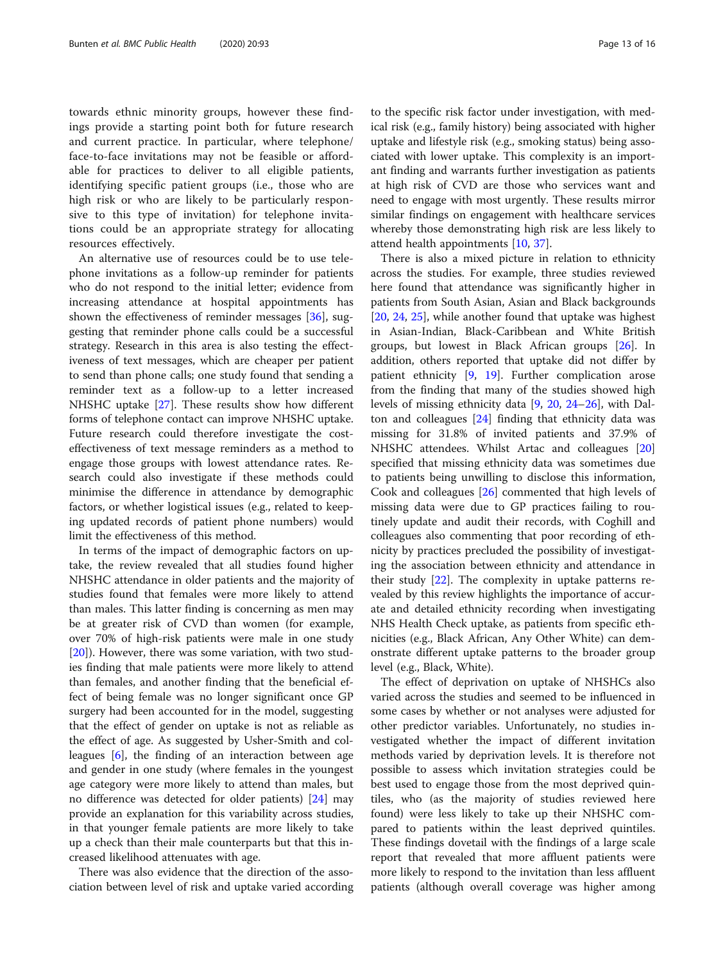towards ethnic minority groups, however these findings provide a starting point both for future research and current practice. In particular, where telephone/ face-to-face invitations may not be feasible or affordable for practices to deliver to all eligible patients, identifying specific patient groups (i.e., those who are high risk or who are likely to be particularly responsive to this type of invitation) for telephone invitations could be an appropriate strategy for allocating resources effectively.

An alternative use of resources could be to use telephone invitations as a follow-up reminder for patients who do not respond to the initial letter; evidence from increasing attendance at hospital appointments has shown the effectiveness of reminder messages [\[36](#page-15-0)], suggesting that reminder phone calls could be a successful strategy. Research in this area is also testing the effectiveness of text messages, which are cheaper per patient to send than phone calls; one study found that sending a reminder text as a follow-up to a letter increased NHSHC uptake [\[27\]](#page-15-0). These results show how different forms of telephone contact can improve NHSHC uptake. Future research could therefore investigate the costeffectiveness of text message reminders as a method to engage those groups with lowest attendance rates. Research could also investigate if these methods could minimise the difference in attendance by demographic factors, or whether logistical issues (e.g., related to keeping updated records of patient phone numbers) would limit the effectiveness of this method.

In terms of the impact of demographic factors on uptake, the review revealed that all studies found higher NHSHC attendance in older patients and the majority of studies found that females were more likely to attend than males. This latter finding is concerning as men may be at greater risk of CVD than women (for example, over 70% of high-risk patients were male in one study [[20\]](#page-14-0)). However, there was some variation, with two studies finding that male patients were more likely to attend than females, and another finding that the beneficial effect of being female was no longer significant once GP surgery had been accounted for in the model, suggesting that the effect of gender on uptake is not as reliable as the effect of age. As suggested by Usher-Smith and colleagues [\[6](#page-14-0)], the finding of an interaction between age and gender in one study (where females in the youngest age category were more likely to attend than males, but no difference was detected for older patients) [\[24](#page-14-0)] may provide an explanation for this variability across studies, in that younger female patients are more likely to take up a check than their male counterparts but that this increased likelihood attenuates with age.

There was also evidence that the direction of the association between level of risk and uptake varied according

to the specific risk factor under investigation, with medical risk (e.g., family history) being associated with higher uptake and lifestyle risk (e.g., smoking status) being associated with lower uptake. This complexity is an important finding and warrants further investigation as patients at high risk of CVD are those who services want and need to engage with most urgently. These results mirror similar findings on engagement with healthcare services whereby those demonstrating high risk are less likely to attend health appointments [[10](#page-14-0), [37](#page-15-0)].

There is also a mixed picture in relation to ethnicity across the studies. For example, three studies reviewed here found that attendance was significantly higher in patients from South Asian, Asian and Black backgrounds [[20,](#page-14-0) [24,](#page-14-0) [25\]](#page-14-0), while another found that uptake was highest in Asian-Indian, Black-Caribbean and White British groups, but lowest in Black African groups [[26](#page-15-0)]. In addition, others reported that uptake did not differ by patient ethnicity [[9,](#page-14-0) [19](#page-14-0)]. Further complication arose from the finding that many of the studies showed high levels of missing ethnicity data [\[9](#page-14-0), [20](#page-14-0), [24](#page-14-0)–[26\]](#page-15-0), with Dalton and colleagues [\[24](#page-14-0)] finding that ethnicity data was missing for 31.8% of invited patients and 37.9% of NHSHC attendees. Whilst Artac and colleagues [[20](#page-14-0)] specified that missing ethnicity data was sometimes due to patients being unwilling to disclose this information, Cook and colleagues [\[26](#page-15-0)] commented that high levels of missing data were due to GP practices failing to routinely update and audit their records, with Coghill and colleagues also commenting that poor recording of ethnicity by practices precluded the possibility of investigating the association between ethnicity and attendance in their study  $[22]$  $[22]$ . The complexity in uptake patterns revealed by this review highlights the importance of accurate and detailed ethnicity recording when investigating NHS Health Check uptake, as patients from specific ethnicities (e.g., Black African, Any Other White) can demonstrate different uptake patterns to the broader group level (e.g., Black, White).

The effect of deprivation on uptake of NHSHCs also varied across the studies and seemed to be influenced in some cases by whether or not analyses were adjusted for other predictor variables. Unfortunately, no studies investigated whether the impact of different invitation methods varied by deprivation levels. It is therefore not possible to assess which invitation strategies could be best used to engage those from the most deprived quintiles, who (as the majority of studies reviewed here found) were less likely to take up their NHSHC compared to patients within the least deprived quintiles. These findings dovetail with the findings of a large scale report that revealed that more affluent patients were more likely to respond to the invitation than less affluent patients (although overall coverage was higher among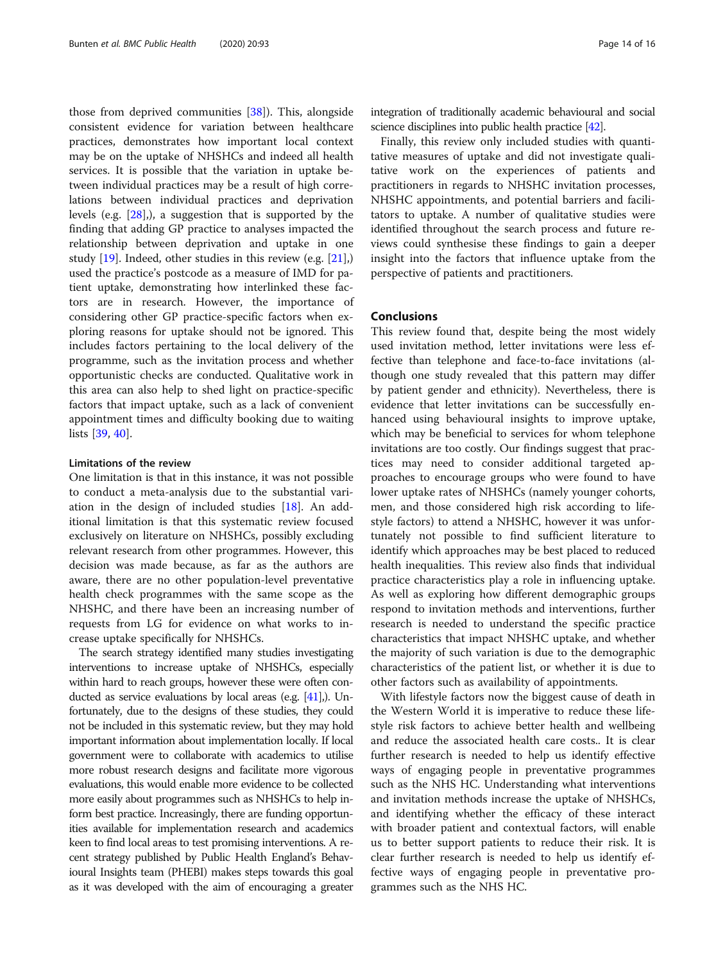those from deprived communities [[38\]](#page-15-0)). This, alongside consistent evidence for variation between healthcare practices, demonstrates how important local context may be on the uptake of NHSHCs and indeed all health services. It is possible that the variation in uptake between individual practices may be a result of high correlations between individual practices and deprivation levels (e.g. [\[28\]](#page-15-0),), a suggestion that is supported by the finding that adding GP practice to analyses impacted the relationship between deprivation and uptake in one study [[19\]](#page-14-0). Indeed, other studies in this review (e.g. [\[21](#page-14-0)],) used the practice's postcode as a measure of IMD for patient uptake, demonstrating how interlinked these factors are in research. However, the importance of considering other GP practice-specific factors when exploring reasons for uptake should not be ignored. This includes factors pertaining to the local delivery of the programme, such as the invitation process and whether opportunistic checks are conducted. Qualitative work in this area can also help to shed light on practice-specific factors that impact uptake, such as a lack of convenient appointment times and difficulty booking due to waiting lists [[39](#page-15-0), [40](#page-15-0)].

#### Limitations of the review

One limitation is that in this instance, it was not possible to conduct a meta-analysis due to the substantial variation in the design of included studies [\[18](#page-14-0)]. An additional limitation is that this systematic review focused exclusively on literature on NHSHCs, possibly excluding relevant research from other programmes. However, this decision was made because, as far as the authors are aware, there are no other population-level preventative health check programmes with the same scope as the NHSHC, and there have been an increasing number of requests from LG for evidence on what works to increase uptake specifically for NHSHCs.

The search strategy identified many studies investigating interventions to increase uptake of NHSHCs, especially within hard to reach groups, however these were often conducted as service evaluations by local areas (e.g. [\[41\]](#page-15-0),). Unfortunately, due to the designs of these studies, they could not be included in this systematic review, but they may hold important information about implementation locally. If local government were to collaborate with academics to utilise more robust research designs and facilitate more vigorous evaluations, this would enable more evidence to be collected more easily about programmes such as NHSHCs to help inform best practice. Increasingly, there are funding opportunities available for implementation research and academics keen to find local areas to test promising interventions. A recent strategy published by Public Health England's Behavioural Insights team (PHEBI) makes steps towards this goal as it was developed with the aim of encouraging a greater integration of traditionally academic behavioural and social science disciplines into public health practice [[42\]](#page-15-0).

Finally, this review only included studies with quantitative measures of uptake and did not investigate qualitative work on the experiences of patients and practitioners in regards to NHSHC invitation processes, NHSHC appointments, and potential barriers and facilitators to uptake. A number of qualitative studies were identified throughout the search process and future reviews could synthesise these findings to gain a deeper insight into the factors that influence uptake from the perspective of patients and practitioners.

#### Conclusions

This review found that, despite being the most widely used invitation method, letter invitations were less effective than telephone and face-to-face invitations (although one study revealed that this pattern may differ by patient gender and ethnicity). Nevertheless, there is evidence that letter invitations can be successfully enhanced using behavioural insights to improve uptake, which may be beneficial to services for whom telephone invitations are too costly. Our findings suggest that practices may need to consider additional targeted approaches to encourage groups who were found to have lower uptake rates of NHSHCs (namely younger cohorts, men, and those considered high risk according to lifestyle factors) to attend a NHSHC, however it was unfortunately not possible to find sufficient literature to identify which approaches may be best placed to reduced health inequalities. This review also finds that individual practice characteristics play a role in influencing uptake. As well as exploring how different demographic groups respond to invitation methods and interventions, further research is needed to understand the specific practice characteristics that impact NHSHC uptake, and whether the majority of such variation is due to the demographic characteristics of the patient list, or whether it is due to other factors such as availability of appointments.

With lifestyle factors now the biggest cause of death in the Western World it is imperative to reduce these lifestyle risk factors to achieve better health and wellbeing and reduce the associated health care costs.. It is clear further research is needed to help us identify effective ways of engaging people in preventative programmes such as the NHS HC. Understanding what interventions and invitation methods increase the uptake of NHSHCs, and identifying whether the efficacy of these interact with broader patient and contextual factors, will enable us to better support patients to reduce their risk. It is clear further research is needed to help us identify effective ways of engaging people in preventative programmes such as the NHS HC.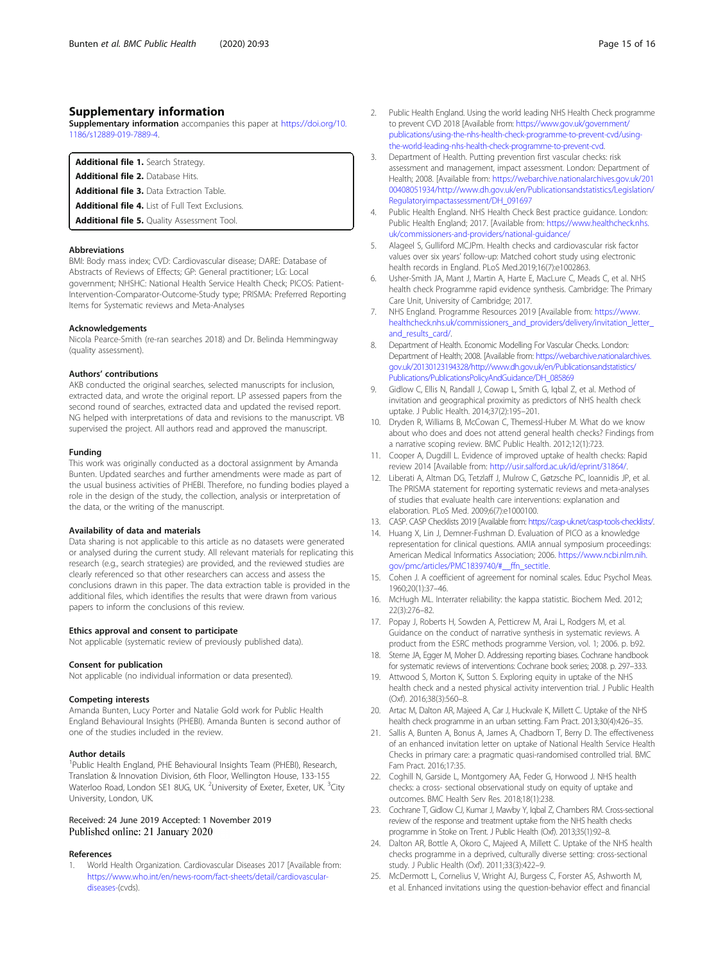#### <span id="page-14-0"></span>Supplementary information

Supplementary information accompanies this paper at [https://doi.org/10.](https://doi.org/10.1186/s12889-019-7889-4) [1186/s12889-019-7889-4.](https://doi.org/10.1186/s12889-019-7889-4)

Additional file 1. Search Strategy.

Additional file 2. Database Hits.

Additional file 3. Data Extraction Table. Additional file 4. List of Full Text Exclusions.

Additional file 5. Quality Assessment Tool.

Abbreviations

BMI: Body mass index; CVD: Cardiovascular disease; DARE: Database of Abstracts of Reviews of Effects; GP: General practitioner; LG: Local government; NHSHC: National Health Service Health Check; PICOS: Patient-Intervention-Comparator-Outcome-Study type; PRISMA: Preferred Reporting Items for Systematic reviews and Meta-Analyses

#### Acknowledgements

Nicola Pearce-Smith (re-ran searches 2018) and Dr. Belinda Hemmingway (quality assessment).

#### Authors' contributions

AKB conducted the original searches, selected manuscripts for inclusion, extracted data, and wrote the original report. LP assessed papers from the second round of searches, extracted data and updated the revised report. NG helped with interpretations of data and revisions to the manuscript. VB supervised the project. All authors read and approved the manuscript.

#### Funding

This work was originally conducted as a doctoral assignment by Amanda Bunten. Updated searches and further amendments were made as part of the usual business activities of PHEBI. Therefore, no funding bodies played a role in the design of the study, the collection, analysis or interpretation of the data, or the writing of the manuscript.

#### Availability of data and materials

Data sharing is not applicable to this article as no datasets were generated or analysed during the current study. All relevant materials for replicating this research (e.g., search strategies) are provided, and the reviewed studies are clearly referenced so that other researchers can access and assess the conclusions drawn in this paper. The data extraction table is provided in the additional files, which identifies the results that were drawn from various papers to inform the conclusions of this review.

#### Ethics approval and consent to participate

Not applicable (systematic review of previously published data).

#### Consent for publication

Not applicable (no individual information or data presented).

#### Competing interests

Amanda Bunten, Lucy Porter and Natalie Gold work for Public Health England Behavioural Insights (PHEBI). Amanda Bunten is second author of one of the studies included in the review.

#### Author details

<sup>1</sup>Public Health England, PHE Behavioural Insights Team (PHEBI), Research, Translation & Innovation Division, 6th Floor, Wellington House, 133-155 Waterloo Road, London SE1 8UG, UK. <sup>2</sup>University of Exeter, Exeter, UK. <sup>3</sup>City University, London, UK.

#### Received: 24 June 2019 Accepted: 1 November 2019 Published online: 21 January 2020

#### References

1. World Health Organization. Cardiovascular Diseases 2017 [Available from: [https://www.who.int/en/news-room/fact-sheets/detail/cardiovascular](https://www.who.int/en/news-room/fact-sheets/detail/cardiovascular-diseases-)[diseases-\(](https://www.who.int/en/news-room/fact-sheets/detail/cardiovascular-diseases-)cvds).

- 2. Public Health England. Using the world leading NHS Health Check programme to prevent CVD 2018 [Available from: [https://www.gov.uk/government/](https://www.gov.uk/government/publications/using-the-nhs-health-check-programme-to-prevent-cvd/using-the-world-leading-nhs-health-check-programme-to-prevent-cvd) [publications/using-the-nhs-health-check-programme-to-prevent-cvd/using](https://www.gov.uk/government/publications/using-the-nhs-health-check-programme-to-prevent-cvd/using-the-world-leading-nhs-health-check-programme-to-prevent-cvd)[the-world-leading-nhs-health-check-programme-to-prevent-cvd](https://www.gov.uk/government/publications/using-the-nhs-health-check-programme-to-prevent-cvd/using-the-world-leading-nhs-health-check-programme-to-prevent-cvd).
- 3. Department of Health. Putting prevention first vascular checks: risk assessment and management, impact assessment. London: Department of Health; 2008. [Available from: [https://webarchive.nationalarchives.gov.uk/201](https://webarchive.nationalarchives.gov.uk/20100408051934/http://www.dh.gov.uk/en/Publicationsandstatistics/Legislation/Regulatoryimpactassessment/DH_091697) [00408051934/http://www.dh.gov.uk/en/Publicationsandstatistics/Legislation/](https://webarchive.nationalarchives.gov.uk/20100408051934/http://www.dh.gov.uk/en/Publicationsandstatistics/Legislation/Regulatoryimpactassessment/DH_091697) [Regulatoryimpactassessment/DH\\_091697](https://webarchive.nationalarchives.gov.uk/20100408051934/http://www.dh.gov.uk/en/Publicationsandstatistics/Legislation/Regulatoryimpactassessment/DH_091697)
- 4. Public Health England. NHS Health Check Best practice guidance. London: Public Health England; 2017. [Available from: [https://www.healthcheck.nhs.](https://www.healthcheck.nhs.uk/commissioners-and-providers/national-guidance/) [uk/commissioners-and-providers/national-guidance/](https://www.healthcheck.nhs.uk/commissioners-and-providers/national-guidance/)
- 5. Alageel S, Gulliford MCJPm. Health checks and cardiovascular risk factor values over six years' follow-up: Matched cohort study using electronic health records in England. PLoS Med.2019;16(7):e1002863.
- 6. Usher-Smith JA, Mant J, Martin A, Harte E, MacLure C, Meads C, et al. NHS health check Programme rapid evidence synthesis. Cambridge: The Primary Care Unit, University of Cambridge; 2017.
- 7. NHS England. Programme Resources 2019 [Available from: [https://www.](https://www.healthcheck.nhs.uk/commissioners_and_providers/delivery/invitation_letter_and_results_card/) [healthcheck.nhs.uk/commissioners\\_and\\_providers/delivery/invitation\\_letter\\_](https://www.healthcheck.nhs.uk/commissioners_and_providers/delivery/invitation_letter_and_results_card/) [and\\_results\\_card/](https://www.healthcheck.nhs.uk/commissioners_and_providers/delivery/invitation_letter_and_results_card/).
- 8. Department of Health. Economic Modelling For Vascular Checks. London: Department of Health; 2008. [Available from: [https://webarchive.nationalarchives.](https://webarchive.nationalarchives.gov.uk/20130123194328/http://www.dh.gov.uk/en/Publicationsandstatistics/Publications/PublicationsPolicyAndGuidance/DH_085869) [gov.uk/20130123194328/http://www.dh.gov.uk/en/Publicationsandstatistics/](https://webarchive.nationalarchives.gov.uk/20130123194328/http://www.dh.gov.uk/en/Publicationsandstatistics/Publications/PublicationsPolicyAndGuidance/DH_085869) [Publications/PublicationsPolicyAndGuidance/DH\\_085869](https://webarchive.nationalarchives.gov.uk/20130123194328/http://www.dh.gov.uk/en/Publicationsandstatistics/Publications/PublicationsPolicyAndGuidance/DH_085869)
- 9. Gidlow C, Ellis N, Randall J, Cowap L, Smith G, Iqbal Z, et al. Method of invitation and geographical proximity as predictors of NHS health check uptake. J Public Health. 2014;37(2):195–201.
- 10. Dryden R, Williams B, McCowan C, Themessl-Huber M. What do we know about who does and does not attend general health checks? Findings from a narrative scoping review. BMC Public Health. 2012;12(1):723.
- 11. Cooper A, Dugdill L. Evidence of improved uptake of health checks: Rapid review 2014 [Available from: [http://usir.salford.ac.uk/id/eprint/31864/.](http://usir.salford.ac.uk/id/eprint/31864/)
- 12. Liberati A, Altman DG, Tetzlaff J, Mulrow C, Gøtzsche PC, Ioannidis JP, et al. The PRISMA statement for reporting systematic reviews and meta-analyses of studies that evaluate health care interventions: explanation and elaboration. PLoS Med. 2009;6(7):e1000100.
- 13. CASP. CASP Checklists 2019 [Available from: [https://casp-uk.net/casp-tools-checklists/.](https://casp-uk.net/casp-tools-checklists/)
- 14. Huang X, Lin J, Demner-Fushman D. Evaluation of PICO as a knowledge representation for clinical questions. AMIA annual symposium proceedings: American Medical Informatics Association; 2006. [https://www.ncbi.nlm.nih.](https://www.ncbi.nlm.nih.gov/pmc/articles/PMC1839740/#__ffn_sectitle) [gov/pmc/articles/PMC1839740/#\\_\\_ffn\\_sectitle.](https://www.ncbi.nlm.nih.gov/pmc/articles/PMC1839740/#__ffn_sectitle)
- 15. Cohen J. A coefficient of agreement for nominal scales. Educ Psychol Meas. 1960;20(1):37–46.
- 16. McHugh ML. Interrater reliability: the kappa statistic. Biochem Med. 2012; 22(3):276–82.
- 17. Popay J, Roberts H, Sowden A, Petticrew M, Arai L, Rodgers M, et al. Guidance on the conduct of narrative synthesis in systematic reviews. A product from the ESRC methods programme Version, vol. 1; 2006. p. b92.
- 18. Sterne JA, Egger M, Moher D. Addressing reporting biases. Cochrane handbook for systematic reviews of interventions: Cochrane book series; 2008. p. 297–333.
- 19. Attwood S, Morton K, Sutton S. Exploring equity in uptake of the NHS health check and a nested physical activity intervention trial. J Public Health (Oxf). 2016;38(3):560–8.
- 20. Artac M, Dalton AR, Majeed A, Car J, Huckvale K, Millett C. Uptake of the NHS health check programme in an urban setting. Fam Pract. 2013;30(4):426–35.
- 21. Sallis A, Bunten A, Bonus A, James A, Chadborn T, Berry D. The effectiveness of an enhanced invitation letter on uptake of National Health Service Health Checks in primary care: a pragmatic quasi-randomised controlled trial. BMC Fam Pract. 2016;17:35.
- 22. Coghill N, Garside L, Montgomery AA, Feder G, Horwood J. NHS health checks: a cross- sectional observational study on equity of uptake and outcomes. BMC Health Serv Res. 2018;18(1):238.
- 23. Cochrane T, Gidlow CJ, Kumar J, Mawby Y, Iqbal Z, Chambers RM. Cross-sectional review of the response and treatment uptake from the NHS health checks programme in Stoke on Trent. J Public Health (Oxf). 2013;35(1):92–8.
- 24. Dalton AR, Bottle A, Okoro C, Majeed A, Millett C. Uptake of the NHS health checks programme in a deprived, culturally diverse setting: cross-sectional study. J Public Health (Oxf). 2011;33(3):422–9.
- 25. McDermott L, Cornelius V, Wright AJ, Burgess C, Forster AS, Ashworth M, et al. Enhanced invitations using the question-behavior effect and financial